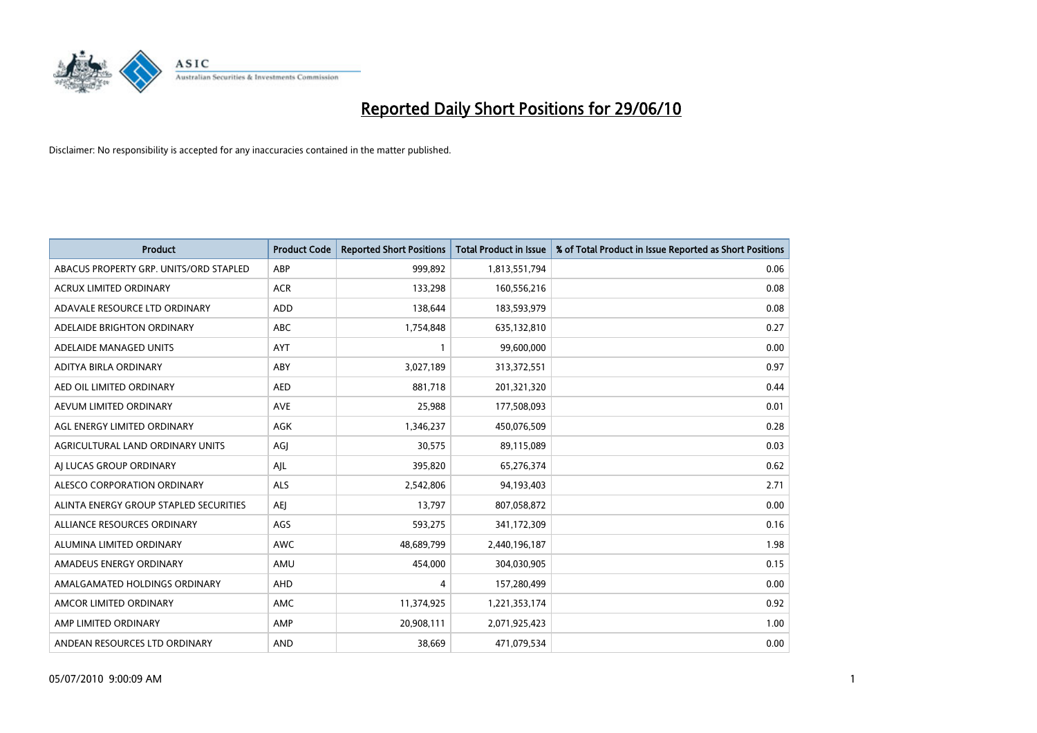

| <b>Product</b>                         | <b>Product Code</b> | <b>Reported Short Positions</b> | Total Product in Issue | % of Total Product in Issue Reported as Short Positions |
|----------------------------------------|---------------------|---------------------------------|------------------------|---------------------------------------------------------|
| ABACUS PROPERTY GRP. UNITS/ORD STAPLED | ABP                 | 999,892                         | 1,813,551,794          | 0.06                                                    |
| ACRUX LIMITED ORDINARY                 | <b>ACR</b>          | 133,298                         | 160,556,216            | 0.08                                                    |
| ADAVALE RESOURCE LTD ORDINARY          | <b>ADD</b>          | 138,644                         | 183,593,979            | 0.08                                                    |
| ADELAIDE BRIGHTON ORDINARY             | <b>ABC</b>          | 1,754,848                       | 635,132,810            | 0.27                                                    |
| ADELAIDE MANAGED UNITS                 | <b>AYT</b>          |                                 | 99,600,000             | 0.00                                                    |
| ADITYA BIRLA ORDINARY                  | ABY                 | 3,027,189                       | 313,372,551            | 0.97                                                    |
| AED OIL LIMITED ORDINARY               | <b>AED</b>          | 881.718                         | 201,321,320            | 0.44                                                    |
| AEVUM LIMITED ORDINARY                 | <b>AVE</b>          | 25,988                          | 177,508,093            | 0.01                                                    |
| AGL ENERGY LIMITED ORDINARY            | AGK                 | 1,346,237                       | 450,076,509            | 0.28                                                    |
| AGRICULTURAL LAND ORDINARY UNITS       | AGJ                 | 30,575                          | 89,115,089             | 0.03                                                    |
| AJ LUCAS GROUP ORDINARY                | AJL                 | 395,820                         | 65,276,374             | 0.62                                                    |
| ALESCO CORPORATION ORDINARY            | <b>ALS</b>          | 2,542,806                       | 94,193,403             | 2.71                                                    |
| ALINTA ENERGY GROUP STAPLED SECURITIES | AEJ                 | 13,797                          | 807,058,872            | 0.00                                                    |
| ALLIANCE RESOURCES ORDINARY            | AGS                 | 593,275                         | 341,172,309            | 0.16                                                    |
| ALUMINA LIMITED ORDINARY               | <b>AWC</b>          | 48,689,799                      | 2,440,196,187          | 1.98                                                    |
| AMADEUS ENERGY ORDINARY                | AMU                 | 454,000                         | 304,030,905            | 0.15                                                    |
| AMALGAMATED HOLDINGS ORDINARY          | AHD                 | 4                               | 157,280,499            | 0.00                                                    |
| AMCOR LIMITED ORDINARY                 | <b>AMC</b>          | 11,374,925                      | 1,221,353,174          | 0.92                                                    |
| AMP LIMITED ORDINARY                   | AMP                 | 20,908,111                      | 2,071,925,423          | 1.00                                                    |
| ANDEAN RESOURCES LTD ORDINARY          | <b>AND</b>          | 38.669                          | 471,079,534            | 0.00                                                    |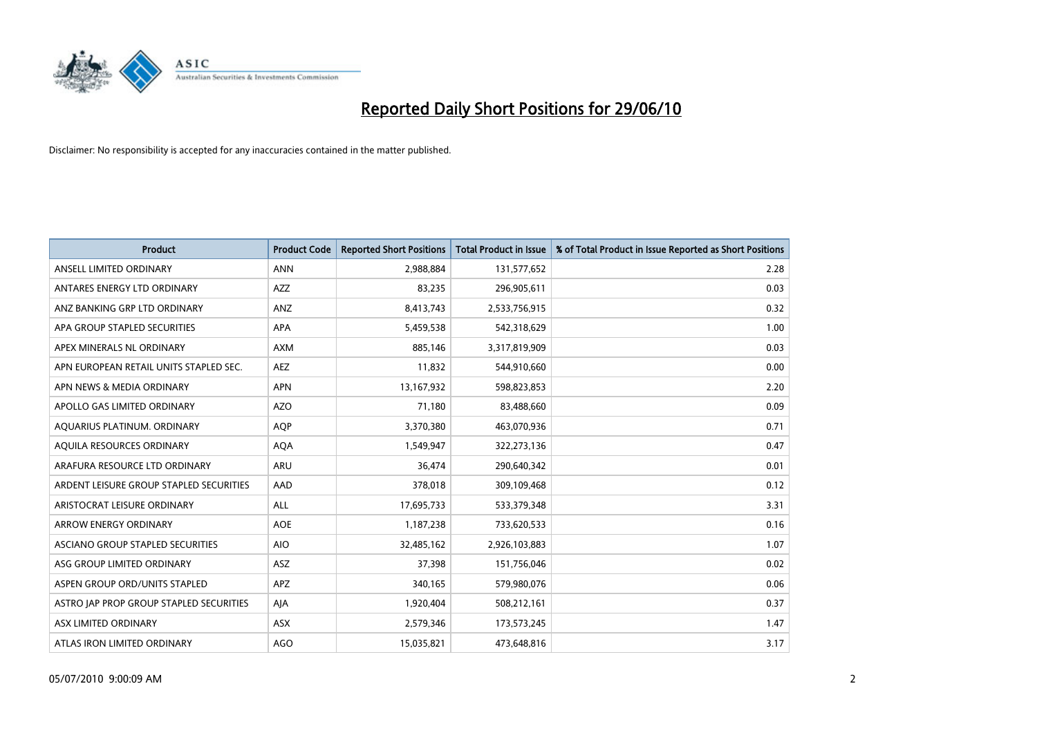

| <b>Product</b>                          | <b>Product Code</b> | <b>Reported Short Positions</b> | <b>Total Product in Issue</b> | % of Total Product in Issue Reported as Short Positions |
|-----------------------------------------|---------------------|---------------------------------|-------------------------------|---------------------------------------------------------|
| ANSELL LIMITED ORDINARY                 | <b>ANN</b>          | 2,988,884                       | 131,577,652                   | 2.28                                                    |
| ANTARES ENERGY LTD ORDINARY             | <b>AZZ</b>          | 83,235                          | 296,905,611                   | 0.03                                                    |
| ANZ BANKING GRP LTD ORDINARY            | ANZ                 | 8,413,743                       | 2,533,756,915                 | 0.32                                                    |
| APA GROUP STAPLED SECURITIES            | <b>APA</b>          | 5,459,538                       | 542,318,629                   | 1.00                                                    |
| APEX MINERALS NL ORDINARY               | <b>AXM</b>          | 885,146                         | 3,317,819,909                 | 0.03                                                    |
| APN EUROPEAN RETAIL UNITS STAPLED SEC.  | <b>AEZ</b>          | 11,832                          | 544,910,660                   | 0.00                                                    |
| APN NEWS & MEDIA ORDINARY               | <b>APN</b>          | 13,167,932                      | 598,823,853                   | 2.20                                                    |
| APOLLO GAS LIMITED ORDINARY             | <b>AZO</b>          | 71,180                          | 83,488,660                    | 0.09                                                    |
| AQUARIUS PLATINUM. ORDINARY             | <b>AQP</b>          | 3,370,380                       | 463,070,936                   | 0.71                                                    |
| AQUILA RESOURCES ORDINARY               | <b>AQA</b>          | 1,549,947                       | 322,273,136                   | 0.47                                                    |
| ARAFURA RESOURCE LTD ORDINARY           | ARU                 | 36,474                          | 290,640,342                   | 0.01                                                    |
| ARDENT LEISURE GROUP STAPLED SECURITIES | AAD                 | 378,018                         | 309,109,468                   | 0.12                                                    |
| ARISTOCRAT LEISURE ORDINARY             | ALL                 | 17,695,733                      | 533,379,348                   | 3.31                                                    |
| <b>ARROW ENERGY ORDINARY</b>            | <b>AOE</b>          | 1,187,238                       | 733,620,533                   | 0.16                                                    |
| ASCIANO GROUP STAPLED SECURITIES        | <b>AIO</b>          | 32,485,162                      | 2,926,103,883                 | 1.07                                                    |
| ASG GROUP LIMITED ORDINARY              | <b>ASZ</b>          | 37,398                          | 151,756,046                   | 0.02                                                    |
| ASPEN GROUP ORD/UNITS STAPLED           | <b>APZ</b>          | 340,165                         | 579,980,076                   | 0.06                                                    |
| ASTRO JAP PROP GROUP STAPLED SECURITIES | AJA                 | 1,920,404                       | 508,212,161                   | 0.37                                                    |
| ASX LIMITED ORDINARY                    | <b>ASX</b>          | 2,579,346                       | 173,573,245                   | 1.47                                                    |
| ATLAS IRON LIMITED ORDINARY             | <b>AGO</b>          | 15,035,821                      | 473,648,816                   | 3.17                                                    |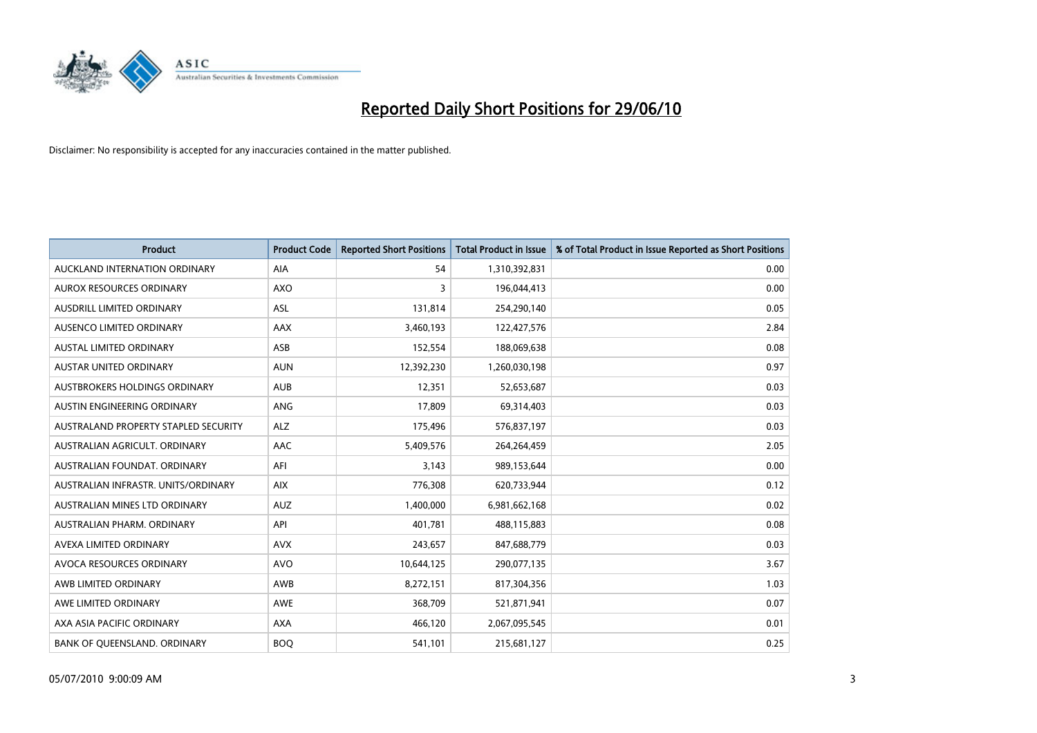

| <b>Product</b>                       | <b>Product Code</b> | <b>Reported Short Positions</b> | Total Product in Issue | % of Total Product in Issue Reported as Short Positions |
|--------------------------------------|---------------------|---------------------------------|------------------------|---------------------------------------------------------|
| AUCKLAND INTERNATION ORDINARY        | <b>AIA</b>          | 54                              | 1,310,392,831          | 0.00                                                    |
| <b>AUROX RESOURCES ORDINARY</b>      | <b>AXO</b>          | 3                               | 196,044,413            | 0.00                                                    |
| AUSDRILL LIMITED ORDINARY            | <b>ASL</b>          | 131,814                         | 254,290,140            | 0.05                                                    |
| AUSENCO LIMITED ORDINARY             | <b>AAX</b>          | 3,460,193                       | 122,427,576            | 2.84                                                    |
| <b>AUSTAL LIMITED ORDINARY</b>       | ASB                 | 152,554                         | 188,069,638            | 0.08                                                    |
| AUSTAR UNITED ORDINARY               | <b>AUN</b>          | 12,392,230                      | 1,260,030,198          | 0.97                                                    |
| AUSTBROKERS HOLDINGS ORDINARY        | <b>AUB</b>          | 12,351                          | 52,653,687             | 0.03                                                    |
| AUSTIN ENGINEERING ORDINARY          | ANG                 | 17.809                          | 69,314,403             | 0.03                                                    |
| AUSTRALAND PROPERTY STAPLED SECURITY | <b>ALZ</b>          | 175,496                         | 576,837,197            | 0.03                                                    |
| AUSTRALIAN AGRICULT, ORDINARY        | AAC                 | 5,409,576                       | 264,264,459            | 2.05                                                    |
| AUSTRALIAN FOUNDAT. ORDINARY         | AFI                 | 3,143                           | 989,153,644            | 0.00                                                    |
| AUSTRALIAN INFRASTR. UNITS/ORDINARY  | <b>AIX</b>          | 776,308                         | 620,733,944            | 0.12                                                    |
| AUSTRALIAN MINES LTD ORDINARY        | <b>AUZ</b>          | 1,400,000                       | 6,981,662,168          | 0.02                                                    |
| AUSTRALIAN PHARM, ORDINARY           | API                 | 401,781                         | 488,115,883            | 0.08                                                    |
| AVEXA LIMITED ORDINARY               | <b>AVX</b>          | 243,657                         | 847,688,779            | 0.03                                                    |
| AVOCA RESOURCES ORDINARY             | <b>AVO</b>          | 10,644,125                      | 290,077,135            | 3.67                                                    |
| AWB LIMITED ORDINARY                 | AWB                 | 8,272,151                       | 817,304,356            | 1.03                                                    |
| AWE LIMITED ORDINARY                 | <b>AWE</b>          | 368,709                         | 521,871,941            | 0.07                                                    |
| AXA ASIA PACIFIC ORDINARY            | <b>AXA</b>          | 466,120                         | 2,067,095,545          | 0.01                                                    |
| BANK OF QUEENSLAND. ORDINARY         | <b>BOO</b>          | 541,101                         | 215,681,127            | 0.25                                                    |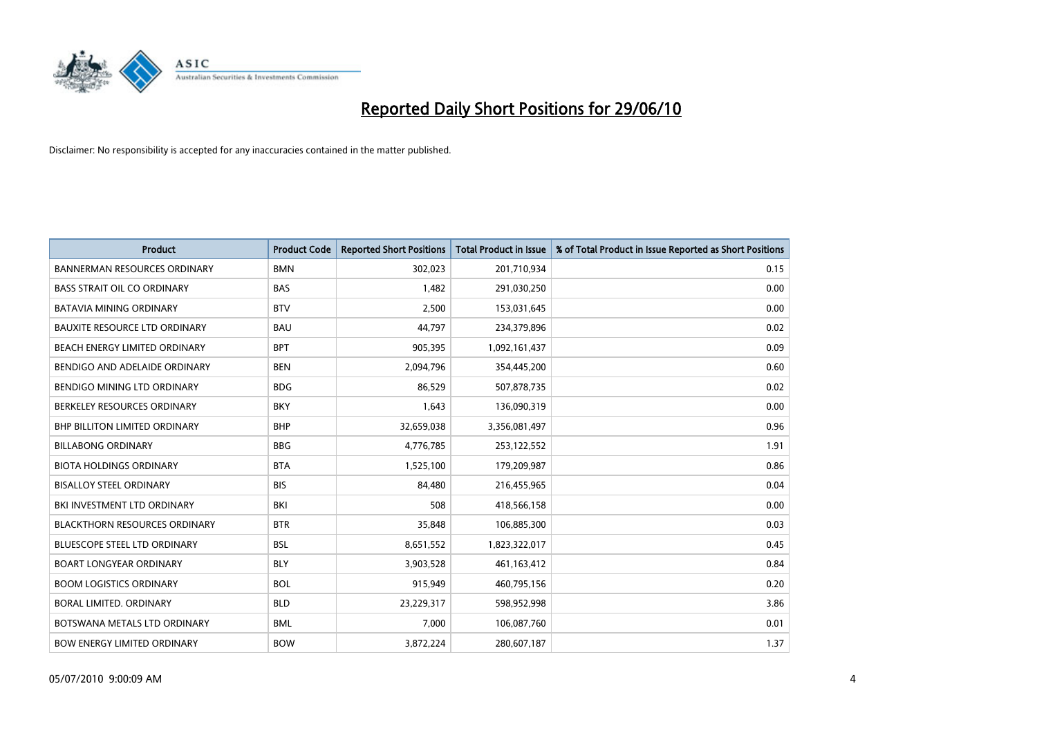

| <b>Product</b>                       | <b>Product Code</b> | <b>Reported Short Positions</b> | <b>Total Product in Issue</b> | % of Total Product in Issue Reported as Short Positions |
|--------------------------------------|---------------------|---------------------------------|-------------------------------|---------------------------------------------------------|
| <b>BANNERMAN RESOURCES ORDINARY</b>  | <b>BMN</b>          | 302,023                         | 201,710,934                   | 0.15                                                    |
| <b>BASS STRAIT OIL CO ORDINARY</b>   | <b>BAS</b>          | 1,482                           | 291,030,250                   | 0.00                                                    |
| <b>BATAVIA MINING ORDINARY</b>       | <b>BTV</b>          | 2.500                           | 153,031,645                   | 0.00                                                    |
| <b>BAUXITE RESOURCE LTD ORDINARY</b> | <b>BAU</b>          | 44,797                          | 234,379,896                   | 0.02                                                    |
| BEACH ENERGY LIMITED ORDINARY        | <b>BPT</b>          | 905,395                         | 1,092,161,437                 | 0.09                                                    |
| BENDIGO AND ADELAIDE ORDINARY        | <b>BEN</b>          | 2,094,796                       | 354,445,200                   | 0.60                                                    |
| <b>BENDIGO MINING LTD ORDINARY</b>   | <b>BDG</b>          | 86,529                          | 507,878,735                   | 0.02                                                    |
| BERKELEY RESOURCES ORDINARY          | <b>BKY</b>          | 1,643                           | 136,090,319                   | 0.00                                                    |
| <b>BHP BILLITON LIMITED ORDINARY</b> | <b>BHP</b>          | 32,659,038                      | 3,356,081,497                 | 0.96                                                    |
| <b>BILLABONG ORDINARY</b>            | <b>BBG</b>          | 4,776,785                       | 253,122,552                   | 1.91                                                    |
| <b>BIOTA HOLDINGS ORDINARY</b>       | <b>BTA</b>          | 1,525,100                       | 179,209,987                   | 0.86                                                    |
| <b>BISALLOY STEEL ORDINARY</b>       | <b>BIS</b>          | 84,480                          | 216,455,965                   | 0.04                                                    |
| BKI INVESTMENT LTD ORDINARY          | BKI                 | 508                             | 418,566,158                   | 0.00                                                    |
| <b>BLACKTHORN RESOURCES ORDINARY</b> | <b>BTR</b>          | 35,848                          | 106,885,300                   | 0.03                                                    |
| <b>BLUESCOPE STEEL LTD ORDINARY</b>  | <b>BSL</b>          | 8,651,552                       | 1,823,322,017                 | 0.45                                                    |
| <b>BOART LONGYEAR ORDINARY</b>       | <b>BLY</b>          | 3,903,528                       | 461,163,412                   | 0.84                                                    |
| <b>BOOM LOGISTICS ORDINARY</b>       | <b>BOL</b>          | 915,949                         | 460,795,156                   | 0.20                                                    |
| BORAL LIMITED. ORDINARY              | <b>BLD</b>          | 23,229,317                      | 598,952,998                   | 3.86                                                    |
| BOTSWANA METALS LTD ORDINARY         | <b>BML</b>          | 7,000                           | 106,087,760                   | 0.01                                                    |
| <b>BOW ENERGY LIMITED ORDINARY</b>   | <b>BOW</b>          | 3,872,224                       | 280,607,187                   | 1.37                                                    |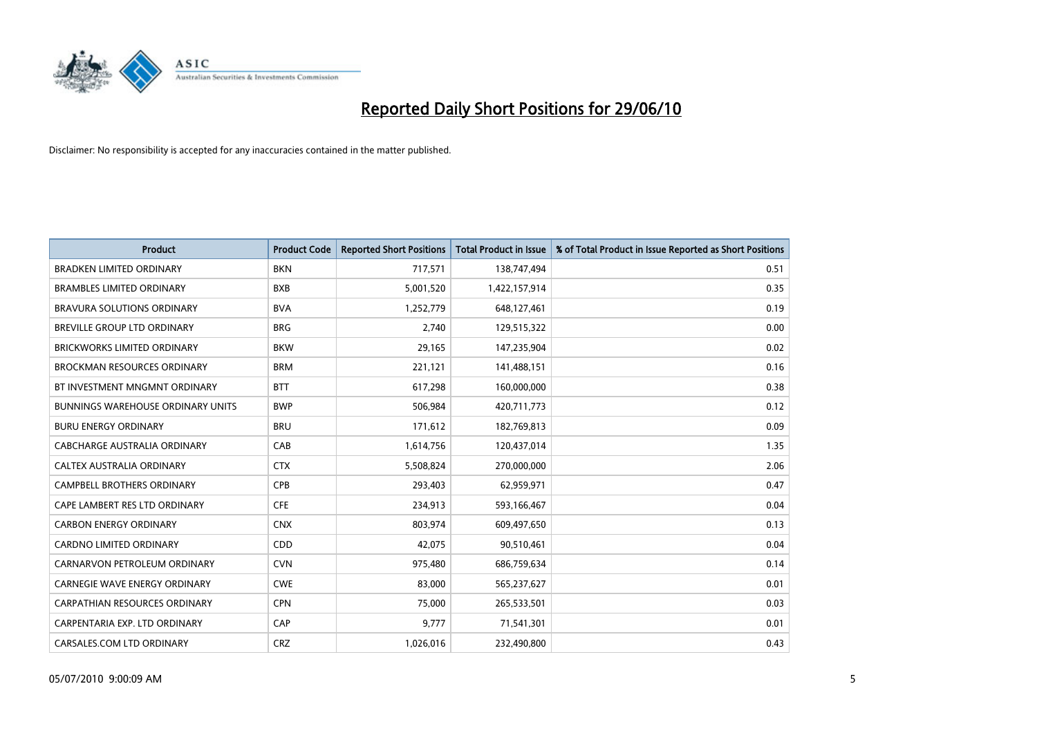

| <b>Product</b>                           | <b>Product Code</b> | <b>Reported Short Positions</b> | <b>Total Product in Issue</b> | % of Total Product in Issue Reported as Short Positions |
|------------------------------------------|---------------------|---------------------------------|-------------------------------|---------------------------------------------------------|
| <b>BRADKEN LIMITED ORDINARY</b>          | <b>BKN</b>          | 717,571                         | 138,747,494                   | 0.51                                                    |
| <b>BRAMBLES LIMITED ORDINARY</b>         | <b>BXB</b>          | 5,001,520                       | 1,422,157,914                 | 0.35                                                    |
| BRAVURA SOLUTIONS ORDINARY               | <b>BVA</b>          | 1,252,779                       | 648,127,461                   | 0.19                                                    |
| BREVILLE GROUP LTD ORDINARY              | <b>BRG</b>          | 2,740                           | 129,515,322                   | 0.00                                                    |
| <b>BRICKWORKS LIMITED ORDINARY</b>       | <b>BKW</b>          | 29,165                          | 147,235,904                   | 0.02                                                    |
| <b>BROCKMAN RESOURCES ORDINARY</b>       | <b>BRM</b>          | 221,121                         | 141,488,151                   | 0.16                                                    |
| BT INVESTMENT MNGMNT ORDINARY            | <b>BTT</b>          | 617,298                         | 160,000,000                   | 0.38                                                    |
| <b>BUNNINGS WAREHOUSE ORDINARY UNITS</b> | <b>BWP</b>          | 506,984                         | 420,711,773                   | 0.12                                                    |
| <b>BURU ENERGY ORDINARY</b>              | <b>BRU</b>          | 171,612                         | 182,769,813                   | 0.09                                                    |
| CABCHARGE AUSTRALIA ORDINARY             | CAB                 | 1,614,756                       | 120,437,014                   | 1.35                                                    |
| CALTEX AUSTRALIA ORDINARY                | <b>CTX</b>          | 5,508,824                       | 270,000,000                   | 2.06                                                    |
| <b>CAMPBELL BROTHERS ORDINARY</b>        | <b>CPB</b>          | 293,403                         | 62,959,971                    | 0.47                                                    |
| CAPE LAMBERT RES LTD ORDINARY            | <b>CFE</b>          | 234,913                         | 593,166,467                   | 0.04                                                    |
| <b>CARBON ENERGY ORDINARY</b>            | <b>CNX</b>          | 803,974                         | 609,497,650                   | 0.13                                                    |
| <b>CARDNO LIMITED ORDINARY</b>           | CDD                 | 42,075                          | 90,510,461                    | 0.04                                                    |
| CARNARVON PETROLEUM ORDINARY             | <b>CVN</b>          | 975,480                         | 686,759,634                   | 0.14                                                    |
| CARNEGIE WAVE ENERGY ORDINARY            | <b>CWE</b>          | 83,000                          | 565,237,627                   | 0.01                                                    |
| CARPATHIAN RESOURCES ORDINARY            | <b>CPN</b>          | 75,000                          | 265,533,501                   | 0.03                                                    |
| CARPENTARIA EXP. LTD ORDINARY            | CAP                 | 9,777                           | 71,541,301                    | 0.01                                                    |
| CARSALES.COM LTD ORDINARY                | <b>CRZ</b>          | 1,026,016                       | 232,490,800                   | 0.43                                                    |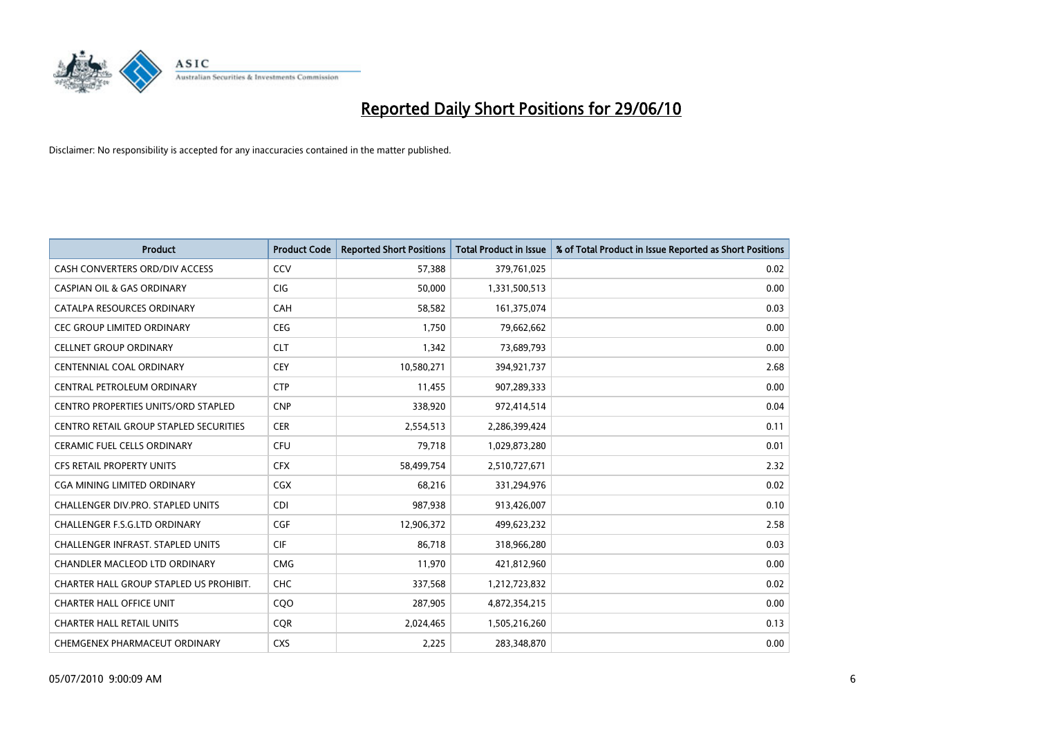

| <b>Product</b>                             | <b>Product Code</b> | <b>Reported Short Positions</b> | <b>Total Product in Issue</b> | % of Total Product in Issue Reported as Short Positions |
|--------------------------------------------|---------------------|---------------------------------|-------------------------------|---------------------------------------------------------|
| CASH CONVERTERS ORD/DIV ACCESS             | CCV                 | 57,388                          | 379,761,025                   | 0.02                                                    |
| <b>CASPIAN OIL &amp; GAS ORDINARY</b>      | <b>CIG</b>          | 50,000                          | 1,331,500,513                 | 0.00                                                    |
| CATALPA RESOURCES ORDINARY                 | CAH                 | 58,582                          | 161,375,074                   | 0.03                                                    |
| <b>CEC GROUP LIMITED ORDINARY</b>          | <b>CEG</b>          | 1,750                           | 79,662,662                    | 0.00                                                    |
| <b>CELLNET GROUP ORDINARY</b>              | <b>CLT</b>          | 1,342                           | 73,689,793                    | 0.00                                                    |
| <b>CENTENNIAL COAL ORDINARY</b>            | CEY                 | 10,580,271                      | 394,921,737                   | 2.68                                                    |
| CENTRAL PETROLEUM ORDINARY                 | <b>CTP</b>          | 11,455                          | 907,289,333                   | 0.00                                                    |
| <b>CENTRO PROPERTIES UNITS/ORD STAPLED</b> | <b>CNP</b>          | 338,920                         | 972,414,514                   | 0.04                                                    |
| CENTRO RETAIL GROUP STAPLED SECURITIES     | <b>CER</b>          | 2,554,513                       | 2,286,399,424                 | 0.11                                                    |
| <b>CERAMIC FUEL CELLS ORDINARY</b>         | CFU                 | 79,718                          | 1,029,873,280                 | 0.01                                                    |
| <b>CFS RETAIL PROPERTY UNITS</b>           | <b>CFX</b>          | 58,499,754                      | 2,510,727,671                 | 2.32                                                    |
| <b>CGA MINING LIMITED ORDINARY</b>         | CGX                 | 68,216                          | 331,294,976                   | 0.02                                                    |
| <b>CHALLENGER DIV.PRO. STAPLED UNITS</b>   | CDI                 | 987,938                         | 913,426,007                   | 0.10                                                    |
| <b>CHALLENGER F.S.G.LTD ORDINARY</b>       | CGF                 | 12,906,372                      | 499,623,232                   | 2.58                                                    |
| <b>CHALLENGER INFRAST. STAPLED UNITS</b>   | <b>CIF</b>          | 86,718                          | 318,966,280                   | 0.03                                                    |
| <b>CHANDLER MACLEOD LTD ORDINARY</b>       | <b>CMG</b>          | 11,970                          | 421,812,960                   | 0.00                                                    |
| CHARTER HALL GROUP STAPLED US PROHIBIT.    | <b>CHC</b>          | 337,568                         | 1,212,723,832                 | 0.02                                                    |
| <b>CHARTER HALL OFFICE UNIT</b>            | CQO                 | 287,905                         | 4,872,354,215                 | 0.00                                                    |
| <b>CHARTER HALL RETAIL UNITS</b>           | <b>COR</b>          | 2,024,465                       | 1,505,216,260                 | 0.13                                                    |
| CHEMGENEX PHARMACEUT ORDINARY              | <b>CXS</b>          | 2,225                           | 283,348,870                   | 0.00                                                    |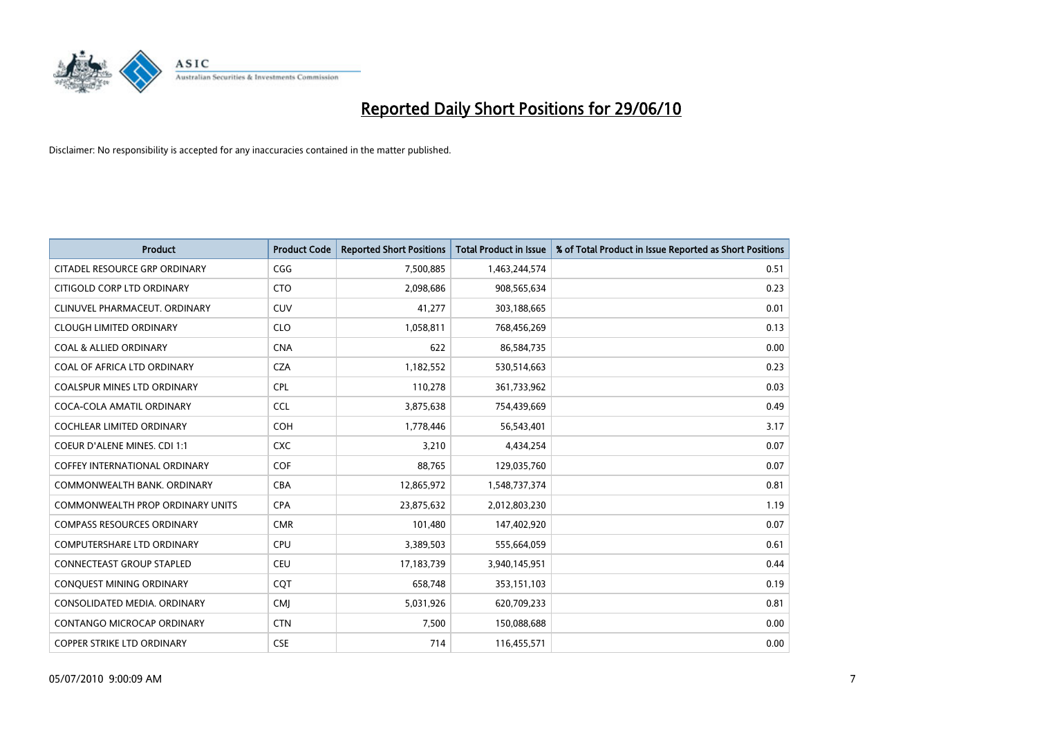

| <b>Product</b>                          | <b>Product Code</b> | <b>Reported Short Positions</b> | Total Product in Issue | % of Total Product in Issue Reported as Short Positions |
|-----------------------------------------|---------------------|---------------------------------|------------------------|---------------------------------------------------------|
| CITADEL RESOURCE GRP ORDINARY           | CGG                 | 7,500,885                       | 1,463,244,574          | 0.51                                                    |
| CITIGOLD CORP LTD ORDINARY              | <b>CTO</b>          | 2,098,686                       | 908,565,634            | 0.23                                                    |
| CLINUVEL PHARMACEUT, ORDINARY           | <b>CUV</b>          | 41,277                          | 303,188,665            | 0.01                                                    |
| <b>CLOUGH LIMITED ORDINARY</b>          | <b>CLO</b>          | 1,058,811                       | 768,456,269            | 0.13                                                    |
| <b>COAL &amp; ALLIED ORDINARY</b>       | <b>CNA</b>          | 622                             | 86,584,735             | 0.00                                                    |
| COAL OF AFRICA LTD ORDINARY             | <b>CZA</b>          | 1,182,552                       | 530,514,663            | 0.23                                                    |
| <b>COALSPUR MINES LTD ORDINARY</b>      | <b>CPL</b>          | 110,278                         | 361,733,962            | 0.03                                                    |
| COCA-COLA AMATIL ORDINARY               | <b>CCL</b>          | 3,875,638                       | 754,439,669            | 0.49                                                    |
| <b>COCHLEAR LIMITED ORDINARY</b>        | <b>COH</b>          | 1,778,446                       | 56,543,401             | 3.17                                                    |
| <b>COEUR D'ALENE MINES. CDI 1:1</b>     | <b>CXC</b>          | 3,210                           | 4,434,254              | 0.07                                                    |
| COFFEY INTERNATIONAL ORDINARY           | <b>COF</b>          | 88,765                          | 129,035,760            | 0.07                                                    |
| COMMONWEALTH BANK, ORDINARY             | <b>CBA</b>          | 12,865,972                      | 1,548,737,374          | 0.81                                                    |
| <b>COMMONWEALTH PROP ORDINARY UNITS</b> | <b>CPA</b>          | 23,875,632                      | 2,012,803,230          | 1.19                                                    |
| <b>COMPASS RESOURCES ORDINARY</b>       | <b>CMR</b>          | 101,480                         | 147,402,920            | 0.07                                                    |
| <b>COMPUTERSHARE LTD ORDINARY</b>       | <b>CPU</b>          | 3,389,503                       | 555,664,059            | 0.61                                                    |
| CONNECTEAST GROUP STAPLED               | <b>CEU</b>          | 17,183,739                      | 3,940,145,951          | 0.44                                                    |
| CONQUEST MINING ORDINARY                | <b>CQT</b>          | 658,748                         | 353,151,103            | 0.19                                                    |
| CONSOLIDATED MEDIA. ORDINARY            | <b>CMI</b>          | 5,031,926                       | 620,709,233            | 0.81                                                    |
| CONTANGO MICROCAP ORDINARY              | <b>CTN</b>          | 7,500                           | 150,088,688            | 0.00                                                    |
| <b>COPPER STRIKE LTD ORDINARY</b>       | <b>CSE</b>          | 714                             | 116,455,571            | 0.00                                                    |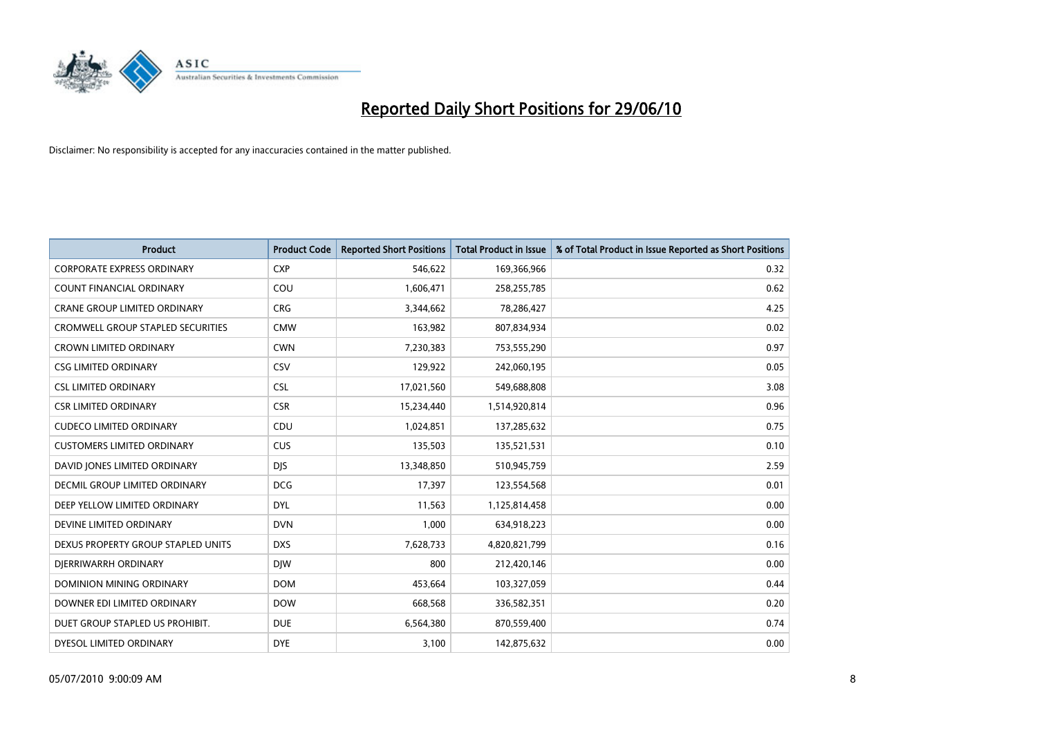

| <b>Product</b>                       | <b>Product Code</b> | <b>Reported Short Positions</b> | <b>Total Product in Issue</b> | % of Total Product in Issue Reported as Short Positions |
|--------------------------------------|---------------------|---------------------------------|-------------------------------|---------------------------------------------------------|
| <b>CORPORATE EXPRESS ORDINARY</b>    | <b>CXP</b>          | 546,622                         | 169,366,966                   | 0.32                                                    |
| COUNT FINANCIAL ORDINARY             | COU                 | 1,606,471                       | 258,255,785                   | 0.62                                                    |
| <b>CRANE GROUP LIMITED ORDINARY</b>  | <b>CRG</b>          | 3,344,662                       | 78,286,427                    | 4.25                                                    |
| CROMWELL GROUP STAPLED SECURITIES    | <b>CMW</b>          | 163,982                         | 807,834,934                   | 0.02                                                    |
| <b>CROWN LIMITED ORDINARY</b>        | <b>CWN</b>          | 7,230,383                       | 753,555,290                   | 0.97                                                    |
| <b>CSG LIMITED ORDINARY</b>          | CSV                 | 129,922                         | 242,060,195                   | 0.05                                                    |
| <b>CSL LIMITED ORDINARY</b>          | <b>CSL</b>          | 17,021,560                      | 549,688,808                   | 3.08                                                    |
| <b>CSR LIMITED ORDINARY</b>          | <b>CSR</b>          | 15,234,440                      | 1,514,920,814                 | 0.96                                                    |
| <b>CUDECO LIMITED ORDINARY</b>       | CDU                 | 1,024,851                       | 137,285,632                   | 0.75                                                    |
| <b>CUSTOMERS LIMITED ORDINARY</b>    | CUS                 | 135,503                         | 135,521,531                   | 0.10                                                    |
| DAVID JONES LIMITED ORDINARY         | <b>DJS</b>          | 13,348,850                      | 510,945,759                   | 2.59                                                    |
| <b>DECMIL GROUP LIMITED ORDINARY</b> | <b>DCG</b>          | 17,397                          | 123,554,568                   | 0.01                                                    |
| DEEP YELLOW LIMITED ORDINARY         | <b>DYL</b>          | 11,563                          | 1,125,814,458                 | 0.00                                                    |
| DEVINE LIMITED ORDINARY              | <b>DVN</b>          | 1,000                           | 634,918,223                   | 0.00                                                    |
| DEXUS PROPERTY GROUP STAPLED UNITS   | <b>DXS</b>          | 7,628,733                       | 4,820,821,799                 | 0.16                                                    |
| DIERRIWARRH ORDINARY                 | <b>DIW</b>          | 800                             | 212,420,146                   | 0.00                                                    |
| DOMINION MINING ORDINARY             | <b>DOM</b>          | 453,664                         | 103,327,059                   | 0.44                                                    |
| DOWNER EDI LIMITED ORDINARY          | <b>DOW</b>          | 668,568                         | 336,582,351                   | 0.20                                                    |
| DUET GROUP STAPLED US PROHIBIT.      | <b>DUE</b>          | 6,564,380                       | 870,559,400                   | 0.74                                                    |
| DYESOL LIMITED ORDINARY              | <b>DYE</b>          | 3,100                           | 142,875,632                   | 0.00                                                    |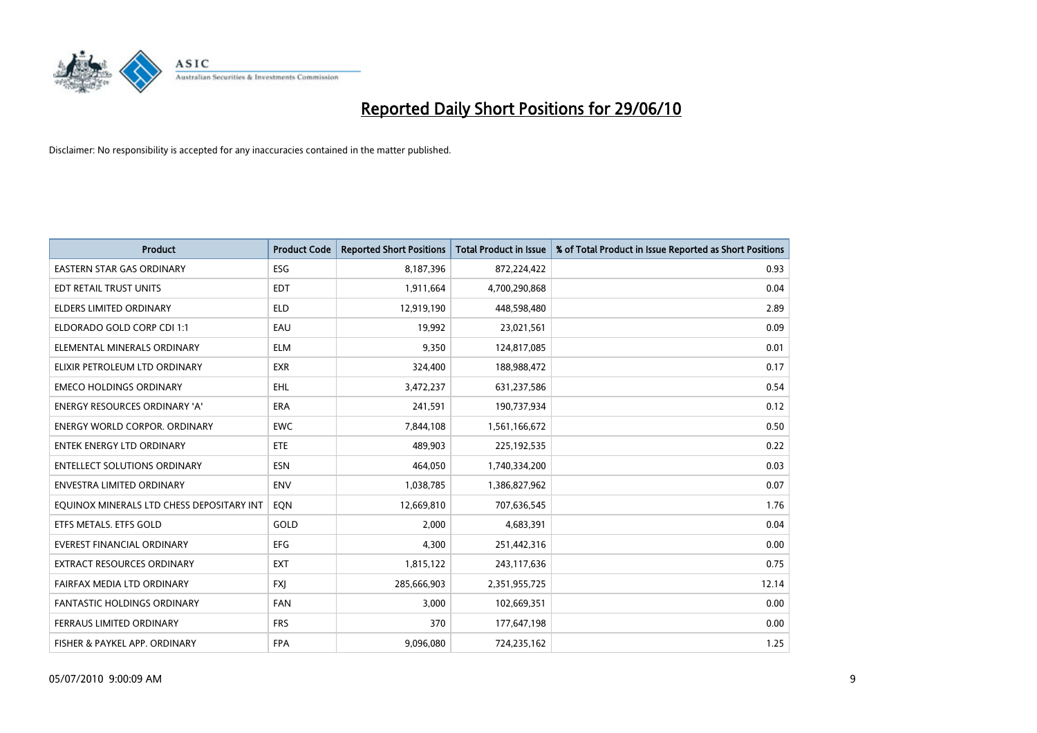

| <b>Product</b>                            | <b>Product Code</b> | <b>Reported Short Positions</b> | <b>Total Product in Issue</b> | % of Total Product in Issue Reported as Short Positions |
|-------------------------------------------|---------------------|---------------------------------|-------------------------------|---------------------------------------------------------|
| <b>EASTERN STAR GAS ORDINARY</b>          | <b>ESG</b>          | 8,187,396                       | 872,224,422                   | 0.93                                                    |
| EDT RETAIL TRUST UNITS                    | <b>EDT</b>          | 1,911,664                       | 4,700,290,868                 | 0.04                                                    |
| <b>ELDERS LIMITED ORDINARY</b>            | <b>ELD</b>          | 12,919,190                      | 448,598,480                   | 2.89                                                    |
| ELDORADO GOLD CORP CDI 1:1                | EAU                 | 19,992                          | 23,021,561                    | 0.09                                                    |
| ELEMENTAL MINERALS ORDINARY               | <b>ELM</b>          | 9,350                           | 124,817,085                   | 0.01                                                    |
| ELIXIR PETROLEUM LTD ORDINARY             | <b>EXR</b>          | 324,400                         | 188,988,472                   | 0.17                                                    |
| <b>EMECO HOLDINGS ORDINARY</b>            | <b>EHL</b>          | 3,472,237                       | 631,237,586                   | 0.54                                                    |
| ENERGY RESOURCES ORDINARY 'A'             | <b>ERA</b>          | 241,591                         | 190,737,934                   | 0.12                                                    |
| <b>ENERGY WORLD CORPOR. ORDINARY</b>      | <b>EWC</b>          | 7,844,108                       | 1,561,166,672                 | 0.50                                                    |
| <b>ENTEK ENERGY LTD ORDINARY</b>          | <b>ETE</b>          | 489,903                         | 225,192,535                   | 0.22                                                    |
| <b>ENTELLECT SOLUTIONS ORDINARY</b>       | <b>ESN</b>          | 464,050                         | 1,740,334,200                 | 0.03                                                    |
| ENVESTRA LIMITED ORDINARY                 | ENV                 | 1,038,785                       | 1,386,827,962                 | 0.07                                                    |
| EQUINOX MINERALS LTD CHESS DEPOSITARY INT | EQN                 | 12,669,810                      | 707,636,545                   | 1.76                                                    |
| ETFS METALS. ETFS GOLD                    | GOLD                | 2,000                           | 4,683,391                     | 0.04                                                    |
| <b>EVEREST FINANCIAL ORDINARY</b>         | EFG                 | 4,300                           | 251,442,316                   | 0.00                                                    |
| <b>EXTRACT RESOURCES ORDINARY</b>         | <b>EXT</b>          | 1,815,122                       | 243,117,636                   | 0.75                                                    |
| FAIRFAX MEDIA LTD ORDINARY                | <b>FXI</b>          | 285,666,903                     | 2,351,955,725                 | 12.14                                                   |
| <b>FANTASTIC HOLDINGS ORDINARY</b>        | <b>FAN</b>          | 3,000                           | 102,669,351                   | 0.00                                                    |
| FERRAUS LIMITED ORDINARY                  | <b>FRS</b>          | 370                             | 177,647,198                   | 0.00                                                    |
| FISHER & PAYKEL APP. ORDINARY             | <b>FPA</b>          | 9,096,080                       | 724,235,162                   | 1.25                                                    |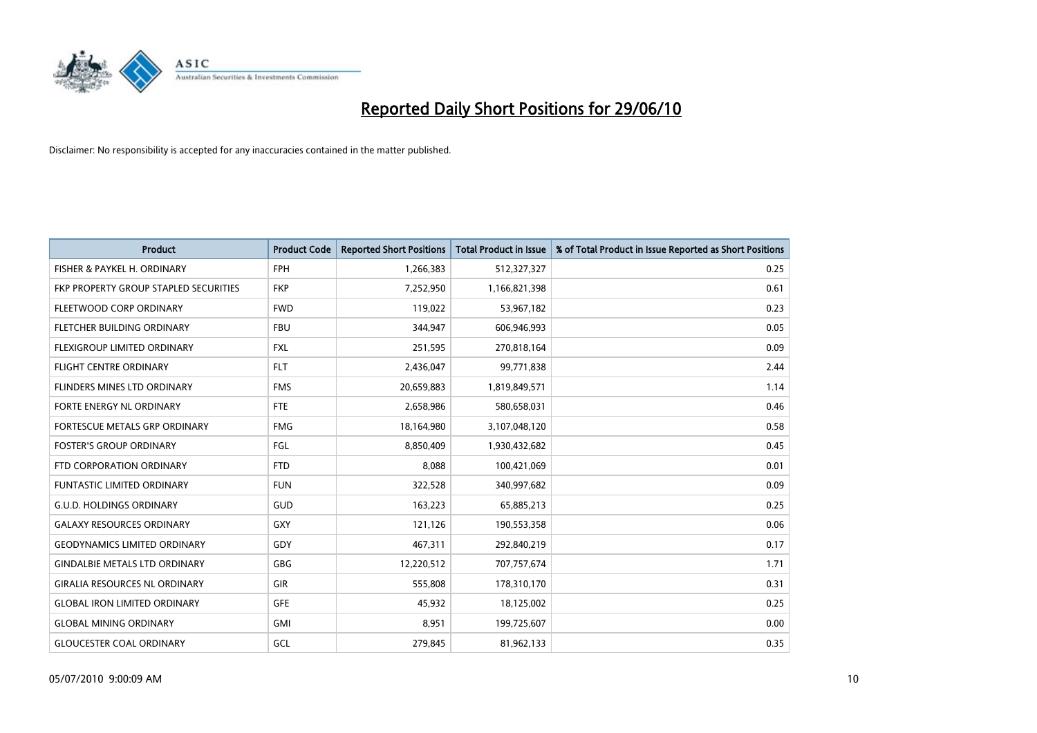

| <b>Product</b>                        | <b>Product Code</b> | <b>Reported Short Positions</b> | <b>Total Product in Issue</b> | % of Total Product in Issue Reported as Short Positions |
|---------------------------------------|---------------------|---------------------------------|-------------------------------|---------------------------------------------------------|
| FISHER & PAYKEL H. ORDINARY           | <b>FPH</b>          | 1,266,383                       | 512,327,327                   | 0.25                                                    |
| FKP PROPERTY GROUP STAPLED SECURITIES | <b>FKP</b>          | 7,252,950                       | 1,166,821,398                 | 0.61                                                    |
| FLEETWOOD CORP ORDINARY               | <b>FWD</b>          | 119,022                         | 53,967,182                    | 0.23                                                    |
| FLETCHER BUILDING ORDINARY            | <b>FBU</b>          | 344,947                         | 606,946,993                   | 0.05                                                    |
| FLEXIGROUP LIMITED ORDINARY           | <b>FXL</b>          | 251,595                         | 270,818,164                   | 0.09                                                    |
| <b>FLIGHT CENTRE ORDINARY</b>         | <b>FLT</b>          | 2,436,047                       | 99,771,838                    | 2.44                                                    |
| <b>FLINDERS MINES LTD ORDINARY</b>    | <b>FMS</b>          | 20,659,883                      | 1,819,849,571                 | 1.14                                                    |
| <b>FORTE ENERGY NL ORDINARY</b>       | <b>FTE</b>          | 2,658,986                       | 580,658,031                   | 0.46                                                    |
| FORTESCUE METALS GRP ORDINARY         | <b>FMG</b>          | 18,164,980                      | 3,107,048,120                 | 0.58                                                    |
| <b>FOSTER'S GROUP ORDINARY</b>        | <b>FGL</b>          | 8,850,409                       | 1,930,432,682                 | 0.45                                                    |
| FTD CORPORATION ORDINARY              | <b>FTD</b>          | 8,088                           | 100,421,069                   | 0.01                                                    |
| <b>FUNTASTIC LIMITED ORDINARY</b>     | <b>FUN</b>          | 322,528                         | 340,997,682                   | 0.09                                                    |
| <b>G.U.D. HOLDINGS ORDINARY</b>       | GUD                 | 163,223                         | 65,885,213                    | 0.25                                                    |
| <b>GALAXY RESOURCES ORDINARY</b>      | <b>GXY</b>          | 121,126                         | 190,553,358                   | 0.06                                                    |
| <b>GEODYNAMICS LIMITED ORDINARY</b>   | GDY                 | 467,311                         | 292,840,219                   | 0.17                                                    |
| <b>GINDALBIE METALS LTD ORDINARY</b>  | <b>GBG</b>          | 12,220,512                      | 707,757,674                   | 1.71                                                    |
| <b>GIRALIA RESOURCES NL ORDINARY</b>  | GIR                 | 555,808                         | 178,310,170                   | 0.31                                                    |
| <b>GLOBAL IRON LIMITED ORDINARY</b>   | <b>GFE</b>          | 45,932                          | 18,125,002                    | 0.25                                                    |
| <b>GLOBAL MINING ORDINARY</b>         | <b>GMI</b>          | 8,951                           | 199,725,607                   | 0.00                                                    |
| <b>GLOUCESTER COAL ORDINARY</b>       | GCL                 | 279,845                         | 81,962,133                    | 0.35                                                    |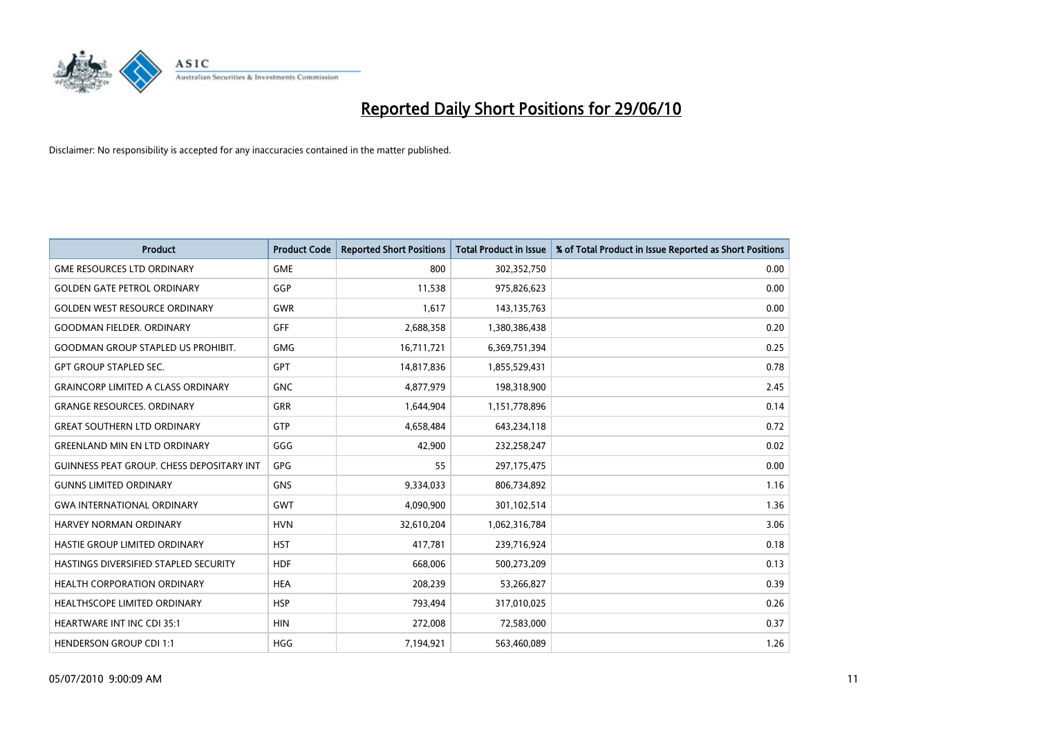

| <b>Product</b>                            | <b>Product Code</b> | <b>Reported Short Positions</b> | <b>Total Product in Issue</b> | % of Total Product in Issue Reported as Short Positions |
|-------------------------------------------|---------------------|---------------------------------|-------------------------------|---------------------------------------------------------|
| <b>GME RESOURCES LTD ORDINARY</b>         | <b>GME</b>          | 800                             | 302,352,750                   | 0.00                                                    |
| <b>GOLDEN GATE PETROL ORDINARY</b>        | GGP                 | 11,538                          | 975,826,623                   | 0.00                                                    |
| <b>GOLDEN WEST RESOURCE ORDINARY</b>      | <b>GWR</b>          | 1,617                           | 143,135,763                   | 0.00                                                    |
| <b>GOODMAN FIELDER, ORDINARY</b>          | <b>GFF</b>          | 2,688,358                       | 1,380,386,438                 | 0.20                                                    |
| <b>GOODMAN GROUP STAPLED US PROHIBIT.</b> | <b>GMG</b>          | 16,711,721                      | 6,369,751,394                 | 0.25                                                    |
| <b>GPT GROUP STAPLED SEC.</b>             | <b>GPT</b>          | 14,817,836                      | 1,855,529,431                 | 0.78                                                    |
| <b>GRAINCORP LIMITED A CLASS ORDINARY</b> | <b>GNC</b>          | 4,877,979                       | 198,318,900                   | 2.45                                                    |
| <b>GRANGE RESOURCES. ORDINARY</b>         | <b>GRR</b>          | 1,644,904                       | 1,151,778,896                 | 0.14                                                    |
| <b>GREAT SOUTHERN LTD ORDINARY</b>        | <b>GTP</b>          | 4,658,484                       | 643,234,118                   | 0.72                                                    |
| <b>GREENLAND MIN EN LTD ORDINARY</b>      | GGG                 | 42,900                          | 232,258,247                   | 0.02                                                    |
| GUINNESS PEAT GROUP. CHESS DEPOSITARY INT | GPG                 | 55                              | 297,175,475                   | 0.00                                                    |
| <b>GUNNS LIMITED ORDINARY</b>             | <b>GNS</b>          | 9,334,033                       | 806,734,892                   | 1.16                                                    |
| <b>GWA INTERNATIONAL ORDINARY</b>         | <b>GWT</b>          | 4,090,900                       | 301,102,514                   | 1.36                                                    |
| <b>HARVEY NORMAN ORDINARY</b>             | <b>HVN</b>          | 32,610,204                      | 1,062,316,784                 | 3.06                                                    |
| HASTIE GROUP LIMITED ORDINARY             | <b>HST</b>          | 417,781                         | 239,716,924                   | 0.18                                                    |
| HASTINGS DIVERSIFIED STAPLED SECURITY     | <b>HDF</b>          | 668,006                         | 500,273,209                   | 0.13                                                    |
| HEALTH CORPORATION ORDINARY               | <b>HEA</b>          | 208,239                         | 53,266,827                    | 0.39                                                    |
| HEALTHSCOPE LIMITED ORDINARY              | <b>HSP</b>          | 793,494                         | 317,010,025                   | 0.26                                                    |
| <b>HEARTWARE INT INC CDI 35:1</b>         | <b>HIN</b>          | 272,008                         | 72,583,000                    | 0.37                                                    |
| <b>HENDERSON GROUP CDI 1:1</b>            | <b>HGG</b>          | 7,194,921                       | 563,460,089                   | 1.26                                                    |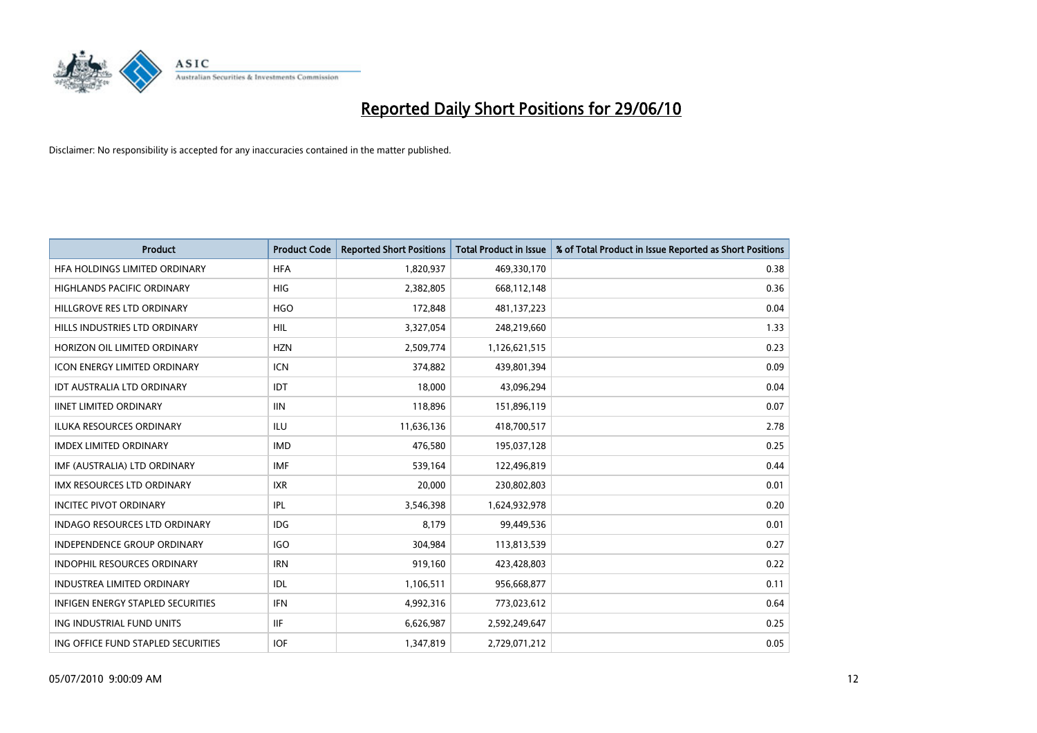

| <b>Product</b>                      | <b>Product Code</b> | <b>Reported Short Positions</b> | <b>Total Product in Issue</b> | % of Total Product in Issue Reported as Short Positions |
|-------------------------------------|---------------------|---------------------------------|-------------------------------|---------------------------------------------------------|
| HFA HOLDINGS LIMITED ORDINARY       | <b>HFA</b>          | 1,820,937                       | 469,330,170                   | 0.38                                                    |
| HIGHLANDS PACIFIC ORDINARY          | <b>HIG</b>          | 2,382,805                       | 668,112,148                   | 0.36                                                    |
| HILLGROVE RES LTD ORDINARY          | <b>HGO</b>          | 172,848                         | 481,137,223                   | 0.04                                                    |
| HILLS INDUSTRIES LTD ORDINARY       | <b>HIL</b>          | 3,327,054                       | 248,219,660                   | 1.33                                                    |
| HORIZON OIL LIMITED ORDINARY        | <b>HZN</b>          | 2,509,774                       | 1,126,621,515                 | 0.23                                                    |
| <b>ICON ENERGY LIMITED ORDINARY</b> | <b>ICN</b>          | 374,882                         | 439,801,394                   | 0.09                                                    |
| <b>IDT AUSTRALIA LTD ORDINARY</b>   | IDT                 | 18,000                          | 43,096,294                    | 0.04                                                    |
| <b>IINET LIMITED ORDINARY</b>       | <b>IIN</b>          | 118,896                         | 151,896,119                   | 0.07                                                    |
| <b>ILUKA RESOURCES ORDINARY</b>     | <b>ILU</b>          | 11,636,136                      | 418,700,517                   | 2.78                                                    |
| <b>IMDEX LIMITED ORDINARY</b>       | <b>IMD</b>          | 476,580                         | 195,037,128                   | 0.25                                                    |
| IMF (AUSTRALIA) LTD ORDINARY        | <b>IMF</b>          | 539,164                         | 122,496,819                   | 0.44                                                    |
| <b>IMX RESOURCES LTD ORDINARY</b>   | <b>IXR</b>          | 20,000                          | 230,802,803                   | 0.01                                                    |
| <b>INCITEC PIVOT ORDINARY</b>       | <b>IPL</b>          | 3,546,398                       | 1,624,932,978                 | 0.20                                                    |
| INDAGO RESOURCES LTD ORDINARY       | <b>IDG</b>          | 8,179                           | 99,449,536                    | 0.01                                                    |
| <b>INDEPENDENCE GROUP ORDINARY</b>  | <b>IGO</b>          | 304,984                         | 113,813,539                   | 0.27                                                    |
| INDOPHIL RESOURCES ORDINARY         | <b>IRN</b>          | 919,160                         | 423,428,803                   | 0.22                                                    |
| INDUSTREA LIMITED ORDINARY          | IDL                 | 1,106,511                       | 956,668,877                   | 0.11                                                    |
| INFIGEN ENERGY STAPLED SECURITIES   | <b>IFN</b>          | 4,992,316                       | 773,023,612                   | 0.64                                                    |
| ING INDUSTRIAL FUND UNITS           | <b>IIF</b>          | 6,626,987                       | 2,592,249,647                 | 0.25                                                    |
| ING OFFICE FUND STAPLED SECURITIES  | <b>IOF</b>          | 1,347,819                       | 2,729,071,212                 | 0.05                                                    |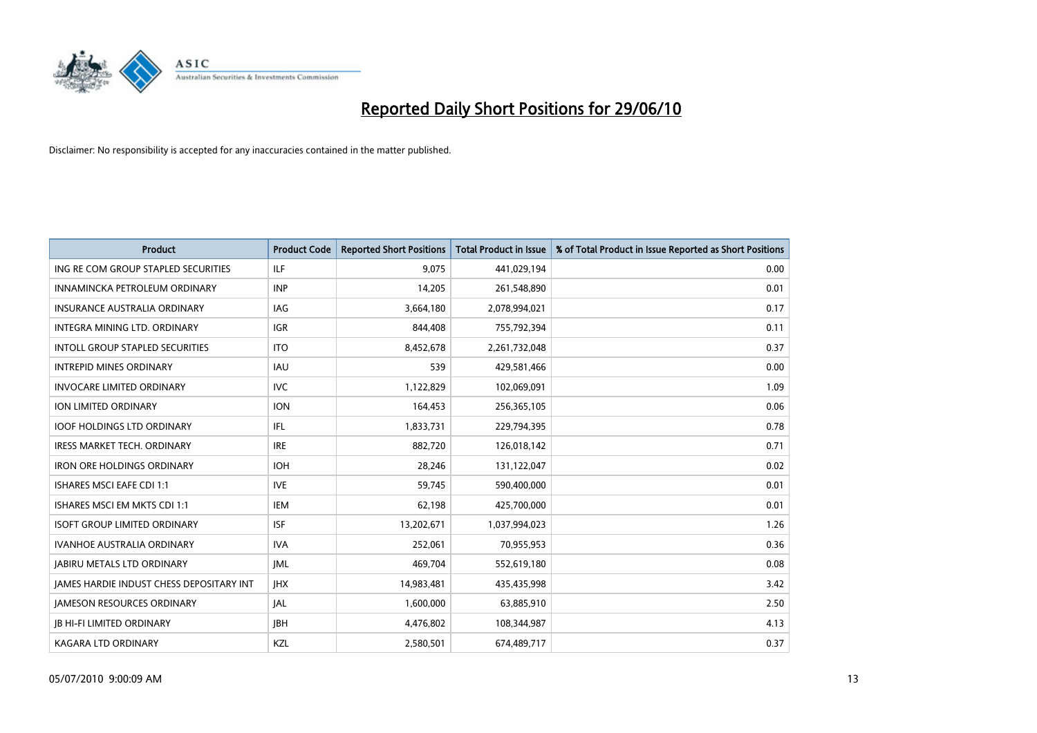

| <b>Product</b>                                  | <b>Product Code</b> | <b>Reported Short Positions</b> | <b>Total Product in Issue</b> | % of Total Product in Issue Reported as Short Positions |
|-------------------------------------------------|---------------------|---------------------------------|-------------------------------|---------------------------------------------------------|
| ING RE COM GROUP STAPLED SECURITIES             | <b>ILF</b>          | 9,075                           | 441,029,194                   | 0.00                                                    |
| INNAMINCKA PETROLEUM ORDINARY                   | <b>INP</b>          | 14.205                          | 261,548,890                   | 0.01                                                    |
| <b>INSURANCE AUSTRALIA ORDINARY</b>             | <b>IAG</b>          | 3,664,180                       | 2,078,994,021                 | 0.17                                                    |
| INTEGRA MINING LTD. ORDINARY                    | <b>IGR</b>          | 844,408                         | 755,792,394                   | 0.11                                                    |
| INTOLL GROUP STAPLED SECURITIES                 | <b>ITO</b>          | 8,452,678                       | 2,261,732,048                 | 0.37                                                    |
| <b>INTREPID MINES ORDINARY</b>                  | <b>IAU</b>          | 539                             | 429,581,466                   | 0.00                                                    |
| <b>INVOCARE LIMITED ORDINARY</b>                | <b>IVC</b>          | 1,122,829                       | 102,069,091                   | 1.09                                                    |
| <b>ION LIMITED ORDINARY</b>                     | <b>ION</b>          | 164,453                         | 256,365,105                   | 0.06                                                    |
| <b>IOOF HOLDINGS LTD ORDINARY</b>               | IFL.                | 1,833,731                       | 229,794,395                   | 0.78                                                    |
| <b>IRESS MARKET TECH. ORDINARY</b>              | <b>IRE</b>          | 882.720                         | 126,018,142                   | 0.71                                                    |
| <b>IRON ORE HOLDINGS ORDINARY</b>               | <b>IOH</b>          | 28,246                          | 131,122,047                   | 0.02                                                    |
| <b>ISHARES MSCI EAFE CDI 1:1</b>                | <b>IVE</b>          | 59,745                          | 590,400,000                   | 0.01                                                    |
| ISHARES MSCI EM MKTS CDI 1:1                    | <b>IEM</b>          | 62.198                          | 425,700,000                   | 0.01                                                    |
| <b>ISOFT GROUP LIMITED ORDINARY</b>             | <b>ISF</b>          | 13,202,671                      | 1,037,994,023                 | 1.26                                                    |
| IVANHOE AUSTRALIA ORDINARY                      | <b>IVA</b>          | 252,061                         | 70,955,953                    | 0.36                                                    |
| <b>JABIRU METALS LTD ORDINARY</b>               | <b>JML</b>          | 469,704                         | 552,619,180                   | 0.08                                                    |
| <b>JAMES HARDIE INDUST CHESS DEPOSITARY INT</b> | <b>IHX</b>          | 14,983,481                      | 435,435,998                   | 3.42                                                    |
| <b>JAMESON RESOURCES ORDINARY</b>               | <b>JAL</b>          | 1,600,000                       | 63,885,910                    | 2.50                                                    |
| <b>IB HI-FI LIMITED ORDINARY</b>                | <b>IBH</b>          | 4,476,802                       | 108,344,987                   | 4.13                                                    |
| <b>KAGARA LTD ORDINARY</b>                      | KZL                 | 2,580,501                       | 674.489.717                   | 0.37                                                    |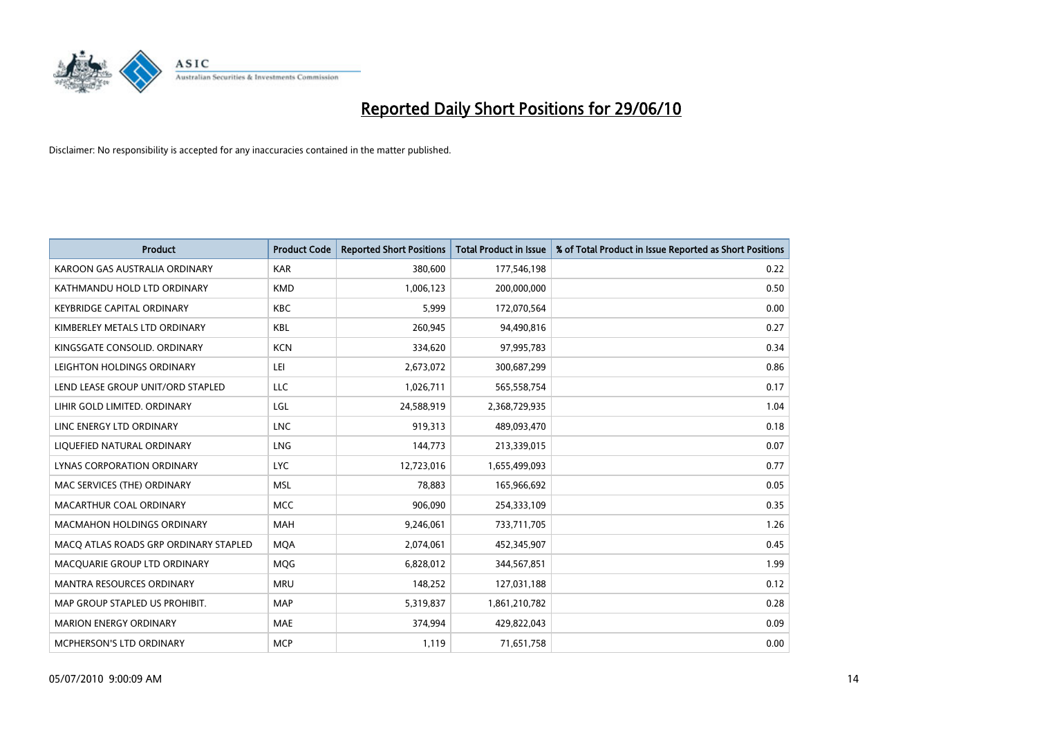

| <b>Product</b>                        | <b>Product Code</b> | <b>Reported Short Positions</b> | <b>Total Product in Issue</b> | % of Total Product in Issue Reported as Short Positions |
|---------------------------------------|---------------------|---------------------------------|-------------------------------|---------------------------------------------------------|
| KAROON GAS AUSTRALIA ORDINARY         | <b>KAR</b>          | 380,600                         | 177,546,198                   | 0.22                                                    |
| KATHMANDU HOLD LTD ORDINARY           | <b>KMD</b>          | 1,006,123                       | 200,000,000                   | 0.50                                                    |
| <b>KEYBRIDGE CAPITAL ORDINARY</b>     | <b>KBC</b>          | 5.999                           | 172,070,564                   | 0.00                                                    |
| KIMBERLEY METALS LTD ORDINARY         | <b>KBL</b>          | 260,945                         | 94,490,816                    | 0.27                                                    |
| KINGSGATE CONSOLID, ORDINARY          | <b>KCN</b>          | 334,620                         | 97,995,783                    | 0.34                                                    |
| LEIGHTON HOLDINGS ORDINARY            | LEI                 | 2,673,072                       | 300,687,299                   | 0.86                                                    |
| LEND LEASE GROUP UNIT/ORD STAPLED     | LLC                 | 1,026,711                       | 565,558,754                   | 0.17                                                    |
| LIHIR GOLD LIMITED. ORDINARY          | LGL                 | 24,588,919                      | 2,368,729,935                 | 1.04                                                    |
| LINC ENERGY LTD ORDINARY              | <b>LNC</b>          | 919,313                         | 489,093,470                   | 0.18                                                    |
| LIQUEFIED NATURAL ORDINARY            | <b>LNG</b>          | 144,773                         | 213,339,015                   | 0.07                                                    |
| LYNAS CORPORATION ORDINARY            | <b>LYC</b>          | 12,723,016                      | 1,655,499,093                 | 0.77                                                    |
| MAC SERVICES (THE) ORDINARY           | <b>MSL</b>          | 78,883                          | 165,966,692                   | 0.05                                                    |
| MACARTHUR COAL ORDINARY               | <b>MCC</b>          | 906,090                         | 254,333,109                   | 0.35                                                    |
| <b>MACMAHON HOLDINGS ORDINARY</b>     | MAH                 | 9,246,061                       | 733,711,705                   | 1.26                                                    |
| MACO ATLAS ROADS GRP ORDINARY STAPLED | <b>MOA</b>          | 2,074,061                       | 452,345,907                   | 0.45                                                    |
| MACQUARIE GROUP LTD ORDINARY          | <b>MOG</b>          | 6,828,012                       | 344,567,851                   | 1.99                                                    |
| MANTRA RESOURCES ORDINARY             | <b>MRU</b>          | 148,252                         | 127,031,188                   | 0.12                                                    |
| MAP GROUP STAPLED US PROHIBIT.        | <b>MAP</b>          | 5,319,837                       | 1,861,210,782                 | 0.28                                                    |
| <b>MARION ENERGY ORDINARY</b>         | <b>MAE</b>          | 374,994                         | 429,822,043                   | 0.09                                                    |
| MCPHERSON'S LTD ORDINARY              | <b>MCP</b>          | 1,119                           | 71,651,758                    | 0.00                                                    |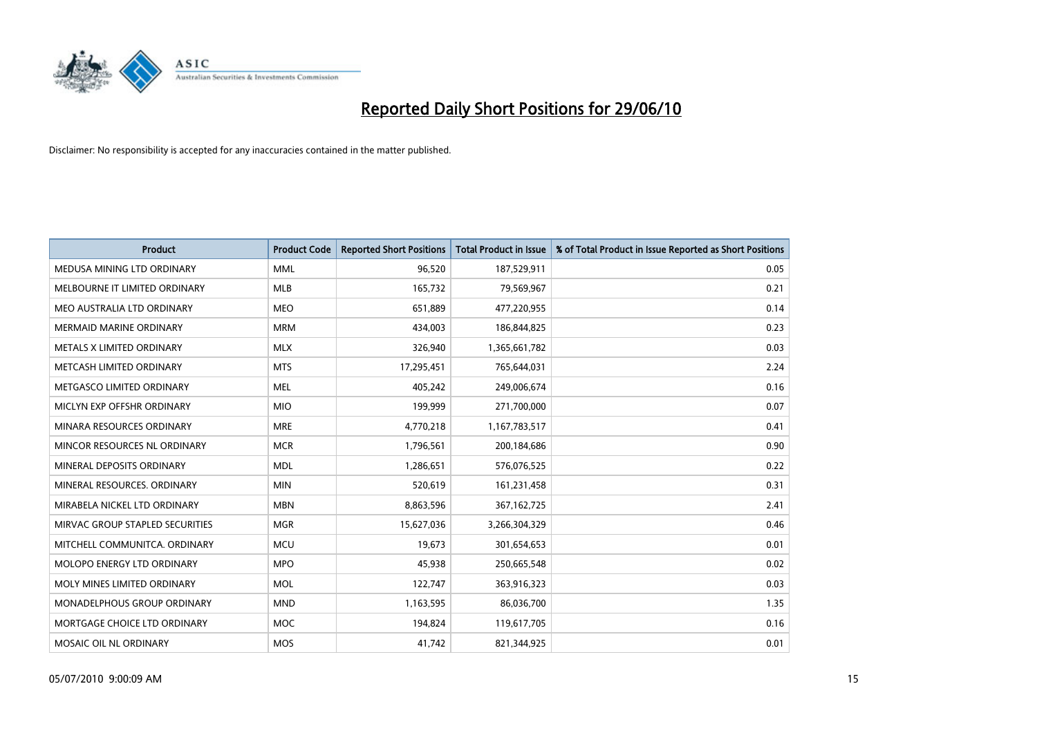

| <b>Product</b>                  | <b>Product Code</b> | <b>Reported Short Positions</b> | Total Product in Issue | % of Total Product in Issue Reported as Short Positions |
|---------------------------------|---------------------|---------------------------------|------------------------|---------------------------------------------------------|
| MEDUSA MINING LTD ORDINARY      | <b>MML</b>          | 96,520                          | 187,529,911            | 0.05                                                    |
| MELBOURNE IT LIMITED ORDINARY   | MLB                 | 165,732                         | 79,569,967             | 0.21                                                    |
| MEO AUSTRALIA LTD ORDINARY      | <b>MEO</b>          | 651,889                         | 477,220,955            | 0.14                                                    |
| MERMAID MARINE ORDINARY         | <b>MRM</b>          | 434,003                         | 186,844,825            | 0.23                                                    |
| METALS X LIMITED ORDINARY       | <b>MLX</b>          | 326,940                         | 1,365,661,782          | 0.03                                                    |
| METCASH LIMITED ORDINARY        | <b>MTS</b>          | 17,295,451                      | 765,644,031            | 2.24                                                    |
| METGASCO LIMITED ORDINARY       | <b>MEL</b>          | 405,242                         | 249,006,674            | 0.16                                                    |
| MICLYN EXP OFFSHR ORDINARY      | <b>MIO</b>          | 199,999                         | 271,700,000            | 0.07                                                    |
| MINARA RESOURCES ORDINARY       | <b>MRE</b>          | 4,770,218                       | 1,167,783,517          | 0.41                                                    |
| MINCOR RESOURCES NL ORDINARY    | <b>MCR</b>          | 1,796,561                       | 200,184,686            | 0.90                                                    |
| MINERAL DEPOSITS ORDINARY       | <b>MDL</b>          | 1,286,651                       | 576,076,525            | 0.22                                                    |
| MINERAL RESOURCES, ORDINARY     | <b>MIN</b>          | 520,619                         | 161,231,458            | 0.31                                                    |
| MIRABELA NICKEL LTD ORDINARY    | <b>MBN</b>          | 8,863,596                       | 367, 162, 725          | 2.41                                                    |
| MIRVAC GROUP STAPLED SECURITIES | <b>MGR</b>          | 15,627,036                      | 3,266,304,329          | 0.46                                                    |
| MITCHELL COMMUNITCA, ORDINARY   | <b>MCU</b>          | 19,673                          | 301,654,653            | 0.01                                                    |
| MOLOPO ENERGY LTD ORDINARY      | <b>MPO</b>          | 45,938                          | 250,665,548            | 0.02                                                    |
| MOLY MINES LIMITED ORDINARY     | <b>MOL</b>          | 122,747                         | 363,916,323            | 0.03                                                    |
| MONADELPHOUS GROUP ORDINARY     | <b>MND</b>          | 1,163,595                       | 86,036,700             | 1.35                                                    |
| MORTGAGE CHOICE LTD ORDINARY    | MOC                 | 194,824                         | 119,617,705            | 0.16                                                    |
| MOSAIC OIL NL ORDINARY          | <b>MOS</b>          | 41,742                          | 821,344,925            | 0.01                                                    |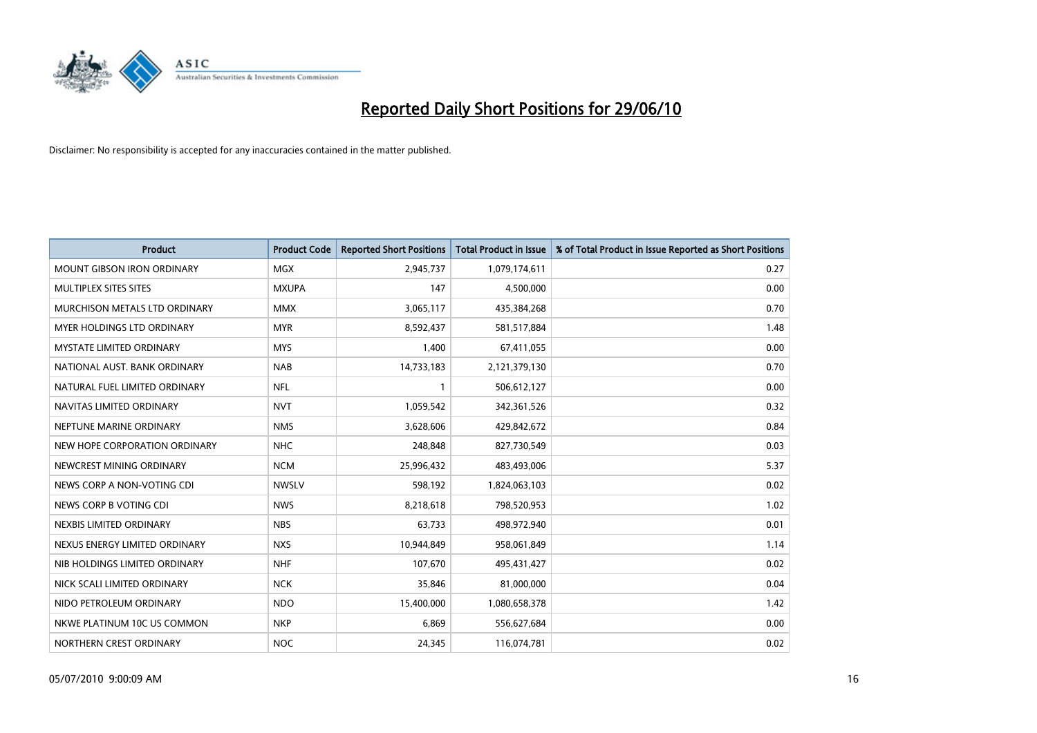

| <b>Product</b>                    | <b>Product Code</b> | <b>Reported Short Positions</b> | <b>Total Product in Issue</b> | % of Total Product in Issue Reported as Short Positions |
|-----------------------------------|---------------------|---------------------------------|-------------------------------|---------------------------------------------------------|
| <b>MOUNT GIBSON IRON ORDINARY</b> | MGX                 | 2,945,737                       | 1,079,174,611                 | 0.27                                                    |
| MULTIPLEX SITES SITES             | <b>MXUPA</b>        | 147                             | 4,500,000                     | 0.00                                                    |
| MURCHISON METALS LTD ORDINARY     | <b>MMX</b>          | 3,065,117                       | 435,384,268                   | 0.70                                                    |
| <b>MYER HOLDINGS LTD ORDINARY</b> | <b>MYR</b>          | 8,592,437                       | 581,517,884                   | 1.48                                                    |
| <b>MYSTATE LIMITED ORDINARY</b>   | <b>MYS</b>          | 1,400                           | 67,411,055                    | 0.00                                                    |
| NATIONAL AUST. BANK ORDINARY      | <b>NAB</b>          | 14,733,183                      | 2,121,379,130                 | 0.70                                                    |
| NATURAL FUEL LIMITED ORDINARY     | <b>NFL</b>          |                                 | 506,612,127                   | 0.00                                                    |
| NAVITAS LIMITED ORDINARY          | <b>NVT</b>          | 1,059,542                       | 342,361,526                   | 0.32                                                    |
| NEPTUNE MARINE ORDINARY           | <b>NMS</b>          | 3,628,606                       | 429,842,672                   | 0.84                                                    |
| NEW HOPE CORPORATION ORDINARY     | <b>NHC</b>          | 248,848                         | 827,730,549                   | 0.03                                                    |
| NEWCREST MINING ORDINARY          | <b>NCM</b>          | 25,996,432                      | 483,493,006                   | 5.37                                                    |
| NEWS CORP A NON-VOTING CDI        | <b>NWSLV</b>        | 598,192                         | 1,824,063,103                 | 0.02                                                    |
| NEWS CORP B VOTING CDI            | <b>NWS</b>          | 8,218,618                       | 798,520,953                   | 1.02                                                    |
| NEXBIS LIMITED ORDINARY           | <b>NBS</b>          | 63,733                          | 498,972,940                   | 0.01                                                    |
| NEXUS ENERGY LIMITED ORDINARY     | <b>NXS</b>          | 10,944,849                      | 958,061,849                   | 1.14                                                    |
| NIB HOLDINGS LIMITED ORDINARY     | <b>NHF</b>          | 107,670                         | 495,431,427                   | 0.02                                                    |
| NICK SCALI LIMITED ORDINARY       | <b>NCK</b>          | 35,846                          | 81,000,000                    | 0.04                                                    |
| NIDO PETROLEUM ORDINARY           | <b>NDO</b>          | 15,400,000                      | 1,080,658,378                 | 1.42                                                    |
| NKWE PLATINUM 10C US COMMON       | <b>NKP</b>          | 6,869                           | 556,627,684                   | 0.00                                                    |
| NORTHERN CREST ORDINARY           | <b>NOC</b>          | 24,345                          | 116,074,781                   | 0.02                                                    |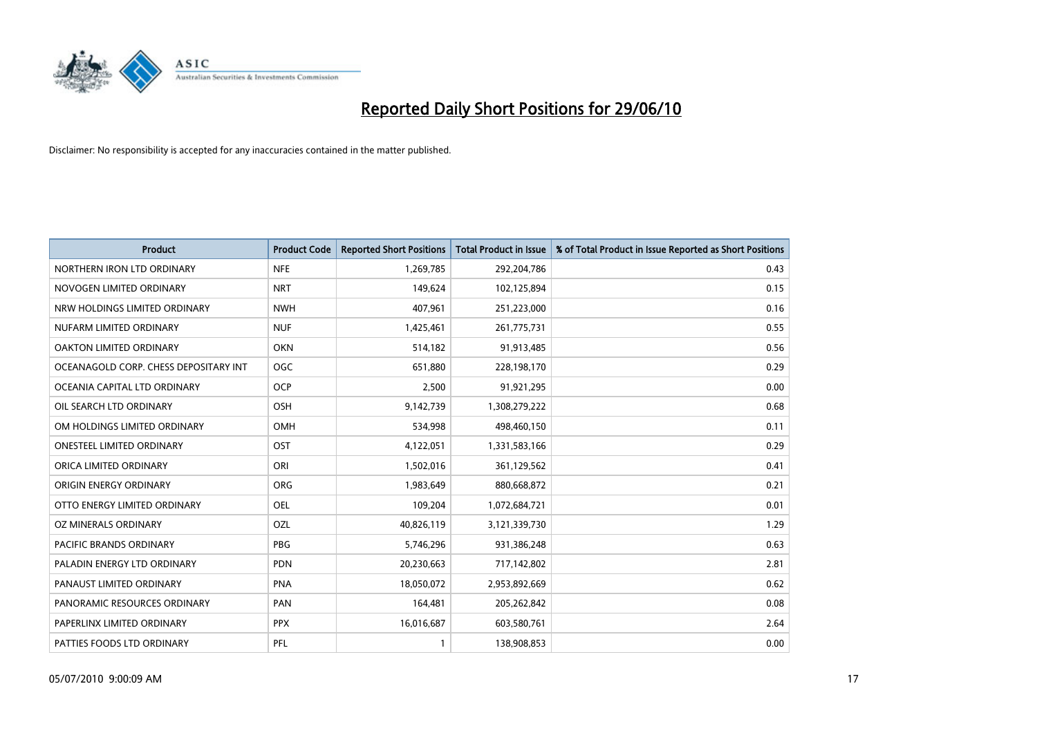

| <b>Product</b>                        | <b>Product Code</b> | <b>Reported Short Positions</b> | <b>Total Product in Issue</b> | % of Total Product in Issue Reported as Short Positions |
|---------------------------------------|---------------------|---------------------------------|-------------------------------|---------------------------------------------------------|
| NORTHERN IRON LTD ORDINARY            | <b>NFE</b>          | 1,269,785                       | 292,204,786                   | 0.43                                                    |
| NOVOGEN LIMITED ORDINARY              | <b>NRT</b>          | 149,624                         | 102,125,894                   | 0.15                                                    |
| NRW HOLDINGS LIMITED ORDINARY         | <b>NWH</b>          | 407,961                         | 251,223,000                   | 0.16                                                    |
| NUFARM LIMITED ORDINARY               | <b>NUF</b>          | 1,425,461                       | 261,775,731                   | 0.55                                                    |
| <b>OAKTON LIMITED ORDINARY</b>        | <b>OKN</b>          | 514,182                         | 91,913,485                    | 0.56                                                    |
| OCEANAGOLD CORP. CHESS DEPOSITARY INT | <b>OGC</b>          | 651,880                         | 228,198,170                   | 0.29                                                    |
| OCEANIA CAPITAL LTD ORDINARY          | <b>OCP</b>          | 2,500                           | 91,921,295                    | 0.00                                                    |
| OIL SEARCH LTD ORDINARY               | OSH                 | 9,142,739                       | 1,308,279,222                 | 0.68                                                    |
| OM HOLDINGS LIMITED ORDINARY          | <b>OMH</b>          | 534,998                         | 498,460,150                   | 0.11                                                    |
| <b>ONESTEEL LIMITED ORDINARY</b>      | OST                 | 4,122,051                       | 1,331,583,166                 | 0.29                                                    |
| ORICA LIMITED ORDINARY                | ORI                 | 1,502,016                       | 361,129,562                   | 0.41                                                    |
| ORIGIN ENERGY ORDINARY                | <b>ORG</b>          | 1,983,649                       | 880,668,872                   | 0.21                                                    |
| OTTO ENERGY LIMITED ORDINARY          | OEL                 | 109,204                         | 1,072,684,721                 | 0.01                                                    |
| OZ MINERALS ORDINARY                  | OZL                 | 40,826,119                      | 3,121,339,730                 | 1.29                                                    |
| <b>PACIFIC BRANDS ORDINARY</b>        | <b>PBG</b>          | 5,746,296                       | 931,386,248                   | 0.63                                                    |
| PALADIN ENERGY LTD ORDINARY           | <b>PDN</b>          | 20,230,663                      | 717,142,802                   | 2.81                                                    |
| PANAUST LIMITED ORDINARY              | <b>PNA</b>          | 18,050,072                      | 2,953,892,669                 | 0.62                                                    |
| PANORAMIC RESOURCES ORDINARY          | PAN                 | 164,481                         | 205,262,842                   | 0.08                                                    |
| PAPERLINX LIMITED ORDINARY            | <b>PPX</b>          | 16,016,687                      | 603,580,761                   | 2.64                                                    |
| PATTIES FOODS LTD ORDINARY            | PFL                 |                                 | 138,908,853                   | 0.00                                                    |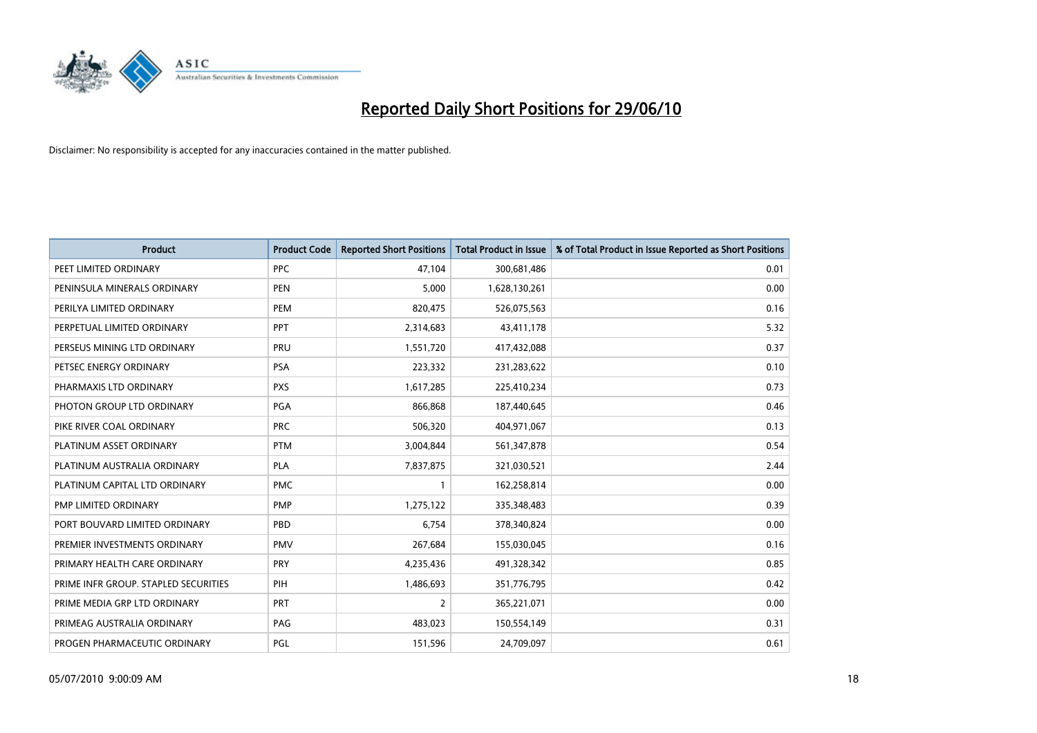

| <b>Product</b>                       | <b>Product Code</b> | <b>Reported Short Positions</b> | Total Product in Issue | % of Total Product in Issue Reported as Short Positions |
|--------------------------------------|---------------------|---------------------------------|------------------------|---------------------------------------------------------|
| PEET LIMITED ORDINARY                | <b>PPC</b>          | 47,104                          | 300,681,486            | 0.01                                                    |
| PENINSULA MINERALS ORDINARY          | <b>PEN</b>          | 5,000                           | 1,628,130,261          | 0.00                                                    |
| PERILYA LIMITED ORDINARY             | PEM                 | 820,475                         | 526,075,563            | 0.16                                                    |
| PERPETUAL LIMITED ORDINARY           | PPT                 | 2,314,683                       | 43,411,178             | 5.32                                                    |
| PERSEUS MINING LTD ORDINARY          | PRU                 | 1,551,720                       | 417,432,088            | 0.37                                                    |
| PETSEC ENERGY ORDINARY               | <b>PSA</b>          | 223,332                         | 231,283,622            | 0.10                                                    |
| PHARMAXIS LTD ORDINARY               | <b>PXS</b>          | 1,617,285                       | 225,410,234            | 0.73                                                    |
| PHOTON GROUP LTD ORDINARY            | <b>PGA</b>          | 866,868                         | 187,440,645            | 0.46                                                    |
| PIKE RIVER COAL ORDINARY             | <b>PRC</b>          | 506,320                         | 404,971,067            | 0.13                                                    |
| PLATINUM ASSET ORDINARY              | <b>PTM</b>          | 3,004,844                       | 561,347,878            | 0.54                                                    |
| PLATINUM AUSTRALIA ORDINARY          | <b>PLA</b>          | 7,837,875                       | 321,030,521            | 2.44                                                    |
| PLATINUM CAPITAL LTD ORDINARY        | <b>PMC</b>          |                                 | 162,258,814            | 0.00                                                    |
| PMP LIMITED ORDINARY                 | <b>PMP</b>          | 1,275,122                       | 335,348,483            | 0.39                                                    |
| PORT BOUVARD LIMITED ORDINARY        | PBD                 | 6,754                           | 378,340,824            | 0.00                                                    |
| PREMIER INVESTMENTS ORDINARY         | <b>PMV</b>          | 267,684                         | 155,030,045            | 0.16                                                    |
| PRIMARY HEALTH CARE ORDINARY         | <b>PRY</b>          | 4,235,436                       | 491,328,342            | 0.85                                                    |
| PRIME INFR GROUP. STAPLED SECURITIES | PIH                 | 1,486,693                       | 351,776,795            | 0.42                                                    |
| PRIME MEDIA GRP LTD ORDINARY         | <b>PRT</b>          | 2                               | 365,221,071            | 0.00                                                    |
| PRIMEAG AUSTRALIA ORDINARY           | PAG                 | 483,023                         | 150,554,149            | 0.31                                                    |
| PROGEN PHARMACEUTIC ORDINARY         | PGL                 | 151,596                         | 24,709,097             | 0.61                                                    |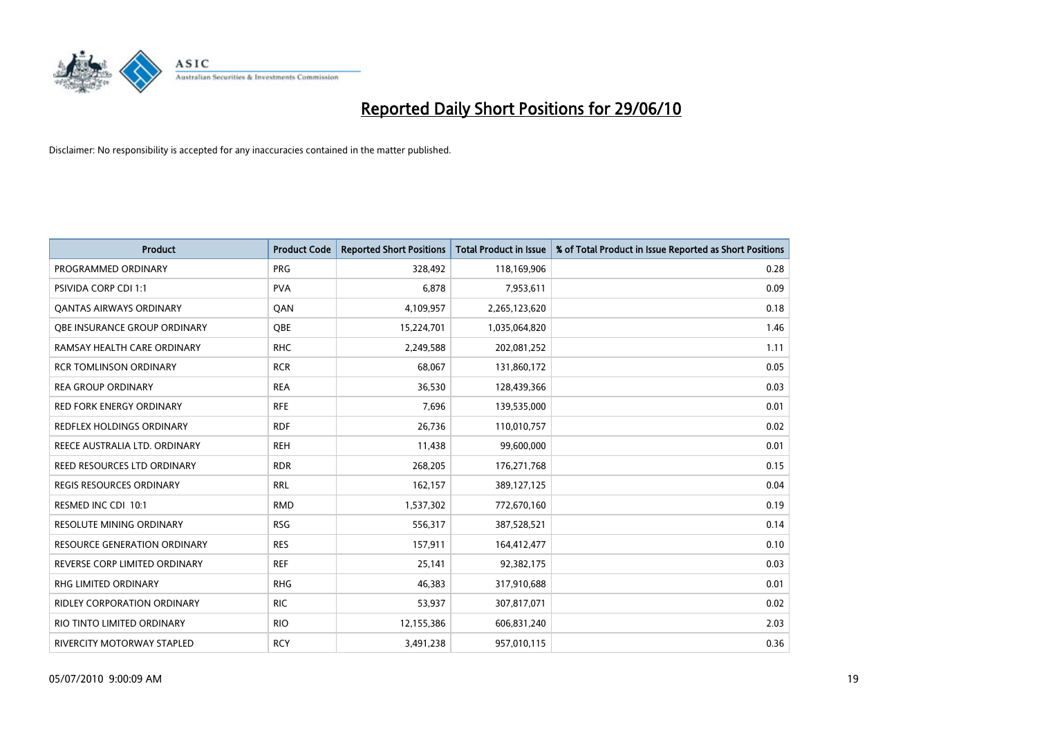

| <b>Product</b>                      | <b>Product Code</b> | <b>Reported Short Positions</b> | Total Product in Issue | % of Total Product in Issue Reported as Short Positions |
|-------------------------------------|---------------------|---------------------------------|------------------------|---------------------------------------------------------|
| PROGRAMMED ORDINARY                 | PRG                 | 328,492                         | 118,169,906            | 0.28                                                    |
| PSIVIDA CORP CDI 1:1                | <b>PVA</b>          | 6,878                           | 7,953,611              | 0.09                                                    |
| <b>QANTAS AIRWAYS ORDINARY</b>      | QAN                 | 4,109,957                       | 2,265,123,620          | 0.18                                                    |
| OBE INSURANCE GROUP ORDINARY        | <b>OBE</b>          | 15,224,701                      | 1,035,064,820          | 1.46                                                    |
| RAMSAY HEALTH CARE ORDINARY         | <b>RHC</b>          | 2,249,588                       | 202,081,252            | 1.11                                                    |
| <b>RCR TOMLINSON ORDINARY</b>       | <b>RCR</b>          | 68,067                          | 131,860,172            | 0.05                                                    |
| <b>REA GROUP ORDINARY</b>           | <b>REA</b>          | 36,530                          | 128,439,366            | 0.03                                                    |
| <b>RED FORK ENERGY ORDINARY</b>     | <b>RFE</b>          | 7,696                           | 139,535,000            | 0.01                                                    |
| REDFLEX HOLDINGS ORDINARY           | <b>RDF</b>          | 26,736                          | 110,010,757            | 0.02                                                    |
| REECE AUSTRALIA LTD. ORDINARY       | <b>REH</b>          | 11,438                          | 99,600,000             | 0.01                                                    |
| REED RESOURCES LTD ORDINARY         | <b>RDR</b>          | 268,205                         | 176,271,768            | 0.15                                                    |
| <b>REGIS RESOURCES ORDINARY</b>     | <b>RRL</b>          | 162,157                         | 389,127,125            | 0.04                                                    |
| RESMED INC CDI 10:1                 | <b>RMD</b>          | 1,537,302                       | 772,670,160            | 0.19                                                    |
| <b>RESOLUTE MINING ORDINARY</b>     | <b>RSG</b>          | 556,317                         | 387,528,521            | 0.14                                                    |
| <b>RESOURCE GENERATION ORDINARY</b> | <b>RES</b>          | 157,911                         | 164,412,477            | 0.10                                                    |
| REVERSE CORP LIMITED ORDINARY       | <b>REF</b>          | 25,141                          | 92,382,175             | 0.03                                                    |
| <b>RHG LIMITED ORDINARY</b>         | <b>RHG</b>          | 46,383                          | 317,910,688            | 0.01                                                    |
| <b>RIDLEY CORPORATION ORDINARY</b>  | <b>RIC</b>          | 53,937                          | 307,817,071            | 0.02                                                    |
| RIO TINTO LIMITED ORDINARY          | <b>RIO</b>          | 12,155,386                      | 606,831,240            | 2.03                                                    |
| RIVERCITY MOTORWAY STAPLED          | <b>RCY</b>          | 3,491,238                       | 957,010,115            | 0.36                                                    |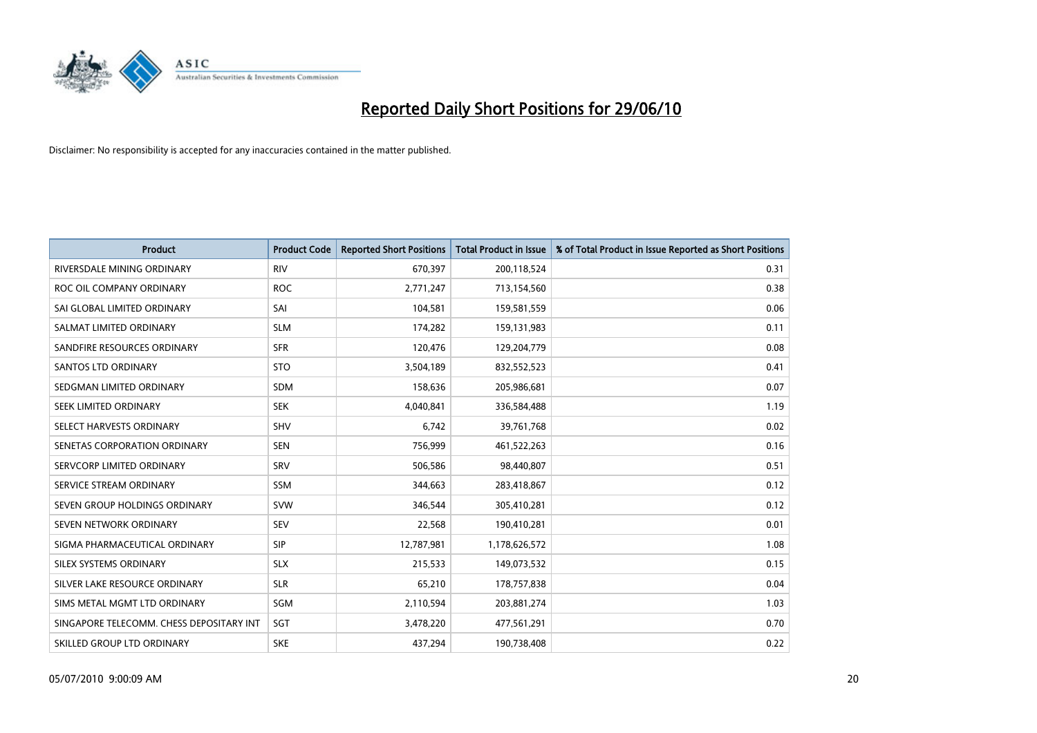

| <b>Product</b>                           | <b>Product Code</b> | <b>Reported Short Positions</b> | <b>Total Product in Issue</b> | % of Total Product in Issue Reported as Short Positions |
|------------------------------------------|---------------------|---------------------------------|-------------------------------|---------------------------------------------------------|
| RIVERSDALE MINING ORDINARY               | <b>RIV</b>          | 670,397                         | 200,118,524                   | 0.31                                                    |
| ROC OIL COMPANY ORDINARY                 | <b>ROC</b>          | 2,771,247                       | 713,154,560                   | 0.38                                                    |
| SAI GLOBAL LIMITED ORDINARY              | SAI                 | 104,581                         | 159,581,559                   | 0.06                                                    |
| SALMAT LIMITED ORDINARY                  | <b>SLM</b>          | 174,282                         | 159,131,983                   | 0.11                                                    |
| SANDFIRE RESOURCES ORDINARY              | <b>SFR</b>          | 120,476                         | 129,204,779                   | 0.08                                                    |
| <b>SANTOS LTD ORDINARY</b>               | <b>STO</b>          | 3,504,189                       | 832,552,523                   | 0.41                                                    |
| SEDGMAN LIMITED ORDINARY                 | <b>SDM</b>          | 158,636                         | 205,986,681                   | 0.07                                                    |
| SEEK LIMITED ORDINARY                    | <b>SEK</b>          | 4,040,841                       | 336,584,488                   | 1.19                                                    |
| SELECT HARVESTS ORDINARY                 | SHV                 | 6,742                           | 39,761,768                    | 0.02                                                    |
| SENETAS CORPORATION ORDINARY             | <b>SEN</b>          | 756,999                         | 461,522,263                   | 0.16                                                    |
| SERVCORP LIMITED ORDINARY                | SRV                 | 506,586                         | 98,440,807                    | 0.51                                                    |
| SERVICE STREAM ORDINARY                  | <b>SSM</b>          | 344,663                         | 283,418,867                   | 0.12                                                    |
| SEVEN GROUP HOLDINGS ORDINARY            | <b>SVW</b>          | 346,544                         | 305,410,281                   | 0.12                                                    |
| SEVEN NETWORK ORDINARY                   | SEV                 | 22,568                          | 190,410,281                   | 0.01                                                    |
| SIGMA PHARMACEUTICAL ORDINARY            | SIP                 | 12,787,981                      | 1,178,626,572                 | 1.08                                                    |
| SILEX SYSTEMS ORDINARY                   | <b>SLX</b>          | 215,533                         | 149,073,532                   | 0.15                                                    |
| SILVER LAKE RESOURCE ORDINARY            | <b>SLR</b>          | 65,210                          | 178,757,838                   | 0.04                                                    |
| SIMS METAL MGMT LTD ORDINARY             | SGM                 | 2,110,594                       | 203,881,274                   | 1.03                                                    |
| SINGAPORE TELECOMM. CHESS DEPOSITARY INT | SGT                 | 3,478,220                       | 477,561,291                   | 0.70                                                    |
| SKILLED GROUP LTD ORDINARY               | <b>SKE</b>          | 437,294                         | 190,738,408                   | 0.22                                                    |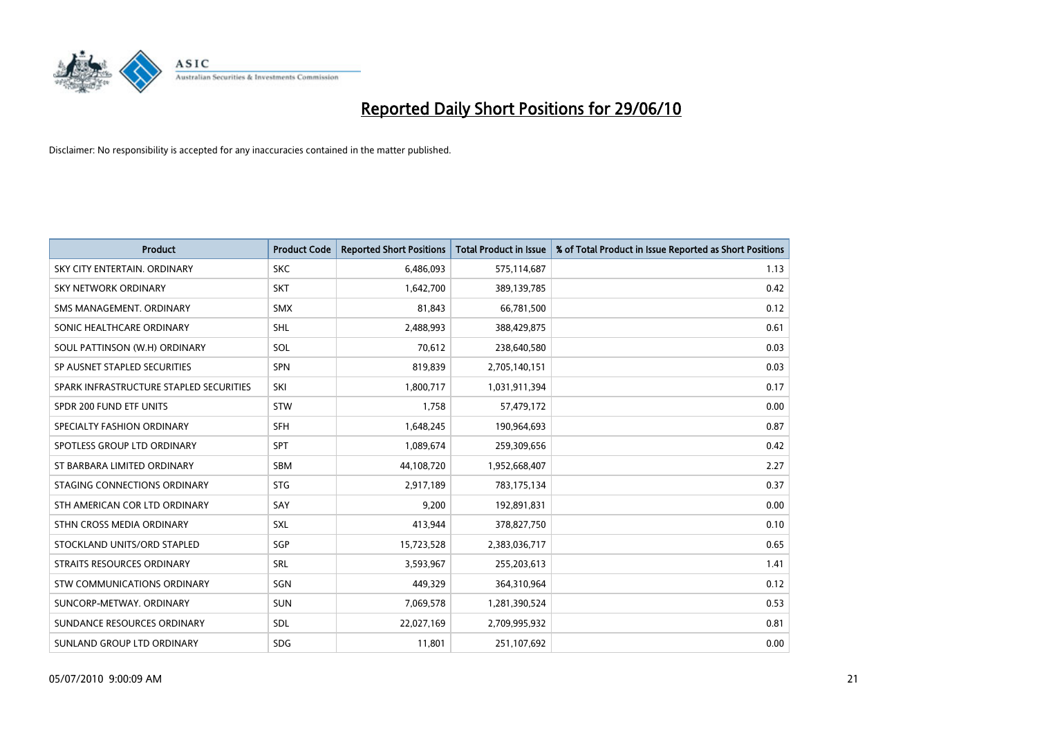

| <b>Product</b>                          | <b>Product Code</b> | <b>Reported Short Positions</b> | <b>Total Product in Issue</b> | % of Total Product in Issue Reported as Short Positions |
|-----------------------------------------|---------------------|---------------------------------|-------------------------------|---------------------------------------------------------|
| SKY CITY ENTERTAIN, ORDINARY            | <b>SKC</b>          | 6,486,093                       | 575,114,687                   | 1.13                                                    |
| SKY NETWORK ORDINARY                    | <b>SKT</b>          | 1,642,700                       | 389,139,785                   | 0.42                                                    |
| SMS MANAGEMENT, ORDINARY                | <b>SMX</b>          | 81,843                          | 66,781,500                    | 0.12                                                    |
| SONIC HEALTHCARE ORDINARY               | <b>SHL</b>          | 2,488,993                       | 388,429,875                   | 0.61                                                    |
| SOUL PATTINSON (W.H) ORDINARY           | SOL                 | 70,612                          | 238,640,580                   | 0.03                                                    |
| SP AUSNET STAPLED SECURITIES            | <b>SPN</b>          | 819,839                         | 2,705,140,151                 | 0.03                                                    |
| SPARK INFRASTRUCTURE STAPLED SECURITIES | SKI                 | 1,800,717                       | 1,031,911,394                 | 0.17                                                    |
| SPDR 200 FUND ETF UNITS                 | <b>STW</b>          | 1,758                           | 57,479,172                    | 0.00                                                    |
| SPECIALTY FASHION ORDINARY              | <b>SFH</b>          | 1,648,245                       | 190,964,693                   | 0.87                                                    |
| SPOTLESS GROUP LTD ORDINARY             | SPT                 | 1,089,674                       | 259,309,656                   | 0.42                                                    |
| ST BARBARA LIMITED ORDINARY             | <b>SBM</b>          | 44,108,720                      | 1,952,668,407                 | 2.27                                                    |
| STAGING CONNECTIONS ORDINARY            | <b>STG</b>          | 2,917,189                       | 783,175,134                   | 0.37                                                    |
| STH AMERICAN COR LTD ORDINARY           | SAY                 | 9,200                           | 192,891,831                   | 0.00                                                    |
| STHN CROSS MEDIA ORDINARY               | <b>SXL</b>          | 413,944                         | 378,827,750                   | 0.10                                                    |
| STOCKLAND UNITS/ORD STAPLED             | SGP                 | 15,723,528                      | 2,383,036,717                 | 0.65                                                    |
| <b>STRAITS RESOURCES ORDINARY</b>       | SRL                 | 3,593,967                       | 255,203,613                   | 1.41                                                    |
| <b>STW COMMUNICATIONS ORDINARY</b>      | SGN                 | 449,329                         | 364,310,964                   | 0.12                                                    |
| SUNCORP-METWAY, ORDINARY                | <b>SUN</b>          | 7,069,578                       | 1,281,390,524                 | 0.53                                                    |
| SUNDANCE RESOURCES ORDINARY             | <b>SDL</b>          | 22,027,169                      | 2,709,995,932                 | 0.81                                                    |
| SUNLAND GROUP LTD ORDINARY              | <b>SDG</b>          | 11,801                          | 251,107,692                   | 0.00                                                    |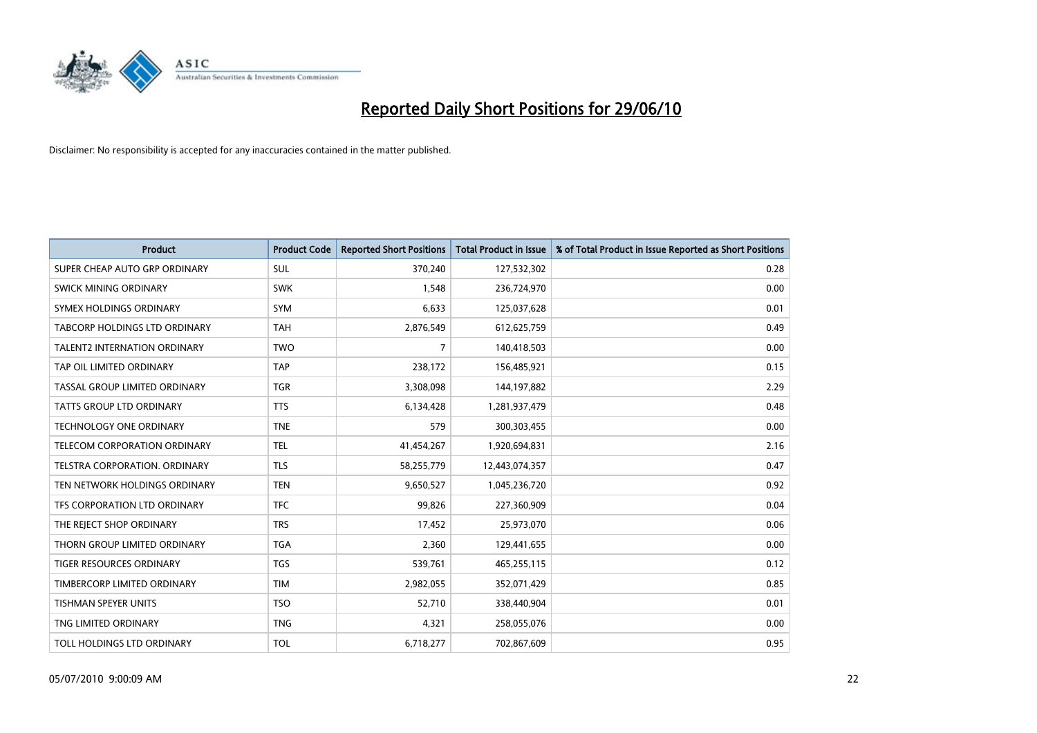

| <b>Product</b>                      | <b>Product Code</b> | <b>Reported Short Positions</b> | <b>Total Product in Issue</b> | % of Total Product in Issue Reported as Short Positions |
|-------------------------------------|---------------------|---------------------------------|-------------------------------|---------------------------------------------------------|
| SUPER CHEAP AUTO GRP ORDINARY       | <b>SUL</b>          | 370,240                         | 127,532,302                   | 0.28                                                    |
| SWICK MINING ORDINARY               | <b>SWK</b>          | 1,548                           | 236,724,970                   | 0.00                                                    |
| SYMEX HOLDINGS ORDINARY             | SYM                 | 6,633                           | 125,037,628                   | 0.01                                                    |
| TABCORP HOLDINGS LTD ORDINARY       | <b>TAH</b>          | 2,876,549                       | 612,625,759                   | 0.49                                                    |
| <b>TALENT2 INTERNATION ORDINARY</b> | <b>TWO</b>          | $\overline{7}$                  | 140,418,503                   | 0.00                                                    |
| TAP OIL LIMITED ORDINARY            | <b>TAP</b>          | 238,172                         | 156,485,921                   | 0.15                                                    |
| TASSAL GROUP LIMITED ORDINARY       | <b>TGR</b>          | 3,308,098                       | 144,197,882                   | 2.29                                                    |
| TATTS GROUP LTD ORDINARY            | <b>TTS</b>          | 6,134,428                       | 1,281,937,479                 | 0.48                                                    |
| <b>TECHNOLOGY ONE ORDINARY</b>      | <b>TNE</b>          | 579                             | 300,303,455                   | 0.00                                                    |
| TELECOM CORPORATION ORDINARY        | <b>TEL</b>          | 41,454,267                      | 1,920,694,831                 | 2.16                                                    |
| TELSTRA CORPORATION. ORDINARY       | <b>TLS</b>          | 58,255,779                      | 12,443,074,357                | 0.47                                                    |
| TEN NETWORK HOLDINGS ORDINARY       | <b>TEN</b>          | 9,650,527                       | 1,045,236,720                 | 0.92                                                    |
| TFS CORPORATION LTD ORDINARY        | <b>TFC</b>          | 99,826                          | 227,360,909                   | 0.04                                                    |
| THE REJECT SHOP ORDINARY            | <b>TRS</b>          | 17,452                          | 25,973,070                    | 0.06                                                    |
| THORN GROUP LIMITED ORDINARY        | <b>TGA</b>          | 2,360                           | 129,441,655                   | 0.00                                                    |
| TIGER RESOURCES ORDINARY            | <b>TGS</b>          | 539,761                         | 465,255,115                   | 0.12                                                    |
| TIMBERCORP LIMITED ORDINARY         | <b>TIM</b>          | 2,982,055                       | 352,071,429                   | 0.85                                                    |
| TISHMAN SPEYER UNITS                | <b>TSO</b>          | 52,710                          | 338,440,904                   | 0.01                                                    |
| TNG LIMITED ORDINARY                | <b>TNG</b>          | 4,321                           | 258,055,076                   | 0.00                                                    |
| TOLL HOLDINGS LTD ORDINARY          | <b>TOL</b>          | 6,718,277                       | 702,867,609                   | 0.95                                                    |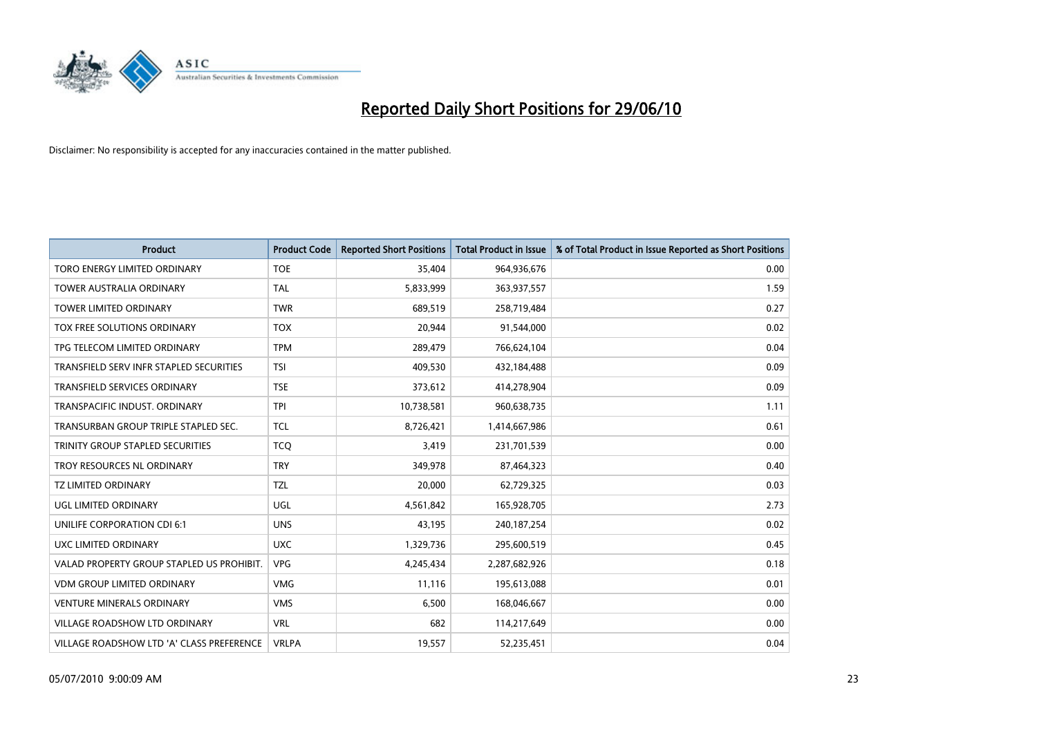

| <b>Product</b>                            | <b>Product Code</b> | <b>Reported Short Positions</b> | Total Product in Issue | % of Total Product in Issue Reported as Short Positions |
|-------------------------------------------|---------------------|---------------------------------|------------------------|---------------------------------------------------------|
| TORO ENERGY LIMITED ORDINARY              | <b>TOE</b>          | 35.404                          | 964,936,676            | 0.00                                                    |
| <b>TOWER AUSTRALIA ORDINARY</b>           | <b>TAL</b>          | 5,833,999                       | 363,937,557            | 1.59                                                    |
| <b>TOWER LIMITED ORDINARY</b>             | <b>TWR</b>          | 689,519                         | 258,719,484            | 0.27                                                    |
| TOX FREE SOLUTIONS ORDINARY               | <b>TOX</b>          | 20,944                          | 91,544,000             | 0.02                                                    |
| TPG TELECOM LIMITED ORDINARY              | <b>TPM</b>          | 289,479                         | 766,624,104            | 0.04                                                    |
| TRANSFIELD SERV INFR STAPLED SECURITIES   | <b>TSI</b>          | 409,530                         | 432,184,488            | 0.09                                                    |
| <b>TRANSFIELD SERVICES ORDINARY</b>       | <b>TSE</b>          | 373,612                         | 414,278,904            | 0.09                                                    |
| TRANSPACIFIC INDUST, ORDINARY             | <b>TPI</b>          | 10,738,581                      | 960,638,735            | 1.11                                                    |
| TRANSURBAN GROUP TRIPLE STAPLED SEC.      | <b>TCL</b>          | 8,726,421                       | 1,414,667,986          | 0.61                                                    |
| TRINITY GROUP STAPLED SECURITIES          | <b>TCO</b>          | 3,419                           | 231,701,539            | 0.00                                                    |
| TROY RESOURCES NL ORDINARY                | <b>TRY</b>          | 349,978                         | 87,464,323             | 0.40                                                    |
| <b>TZ LIMITED ORDINARY</b>                | <b>TZL</b>          | 20,000                          | 62,729,325             | 0.03                                                    |
| UGL LIMITED ORDINARY                      | UGL                 | 4,561,842                       | 165,928,705            | 2.73                                                    |
| <b>UNILIFE CORPORATION CDI 6:1</b>        | <b>UNS</b>          | 43,195                          | 240, 187, 254          | 0.02                                                    |
| UXC LIMITED ORDINARY                      | <b>UXC</b>          | 1,329,736                       | 295,600,519            | 0.45                                                    |
| VALAD PROPERTY GROUP STAPLED US PROHIBIT. | <b>VPG</b>          | 4,245,434                       | 2,287,682,926          | 0.18                                                    |
| <b>VDM GROUP LIMITED ORDINARY</b>         | <b>VMG</b>          | 11,116                          | 195,613,088            | 0.01                                                    |
| <b>VENTURE MINERALS ORDINARY</b>          | <b>VMS</b>          | 6,500                           | 168,046,667            | 0.00                                                    |
| <b>VILLAGE ROADSHOW LTD ORDINARY</b>      | <b>VRL</b>          | 682                             | 114,217,649            | 0.00                                                    |
| VILLAGE ROADSHOW LTD 'A' CLASS PREFERENCE | <b>VRLPA</b>        | 19,557                          | 52,235,451             | 0.04                                                    |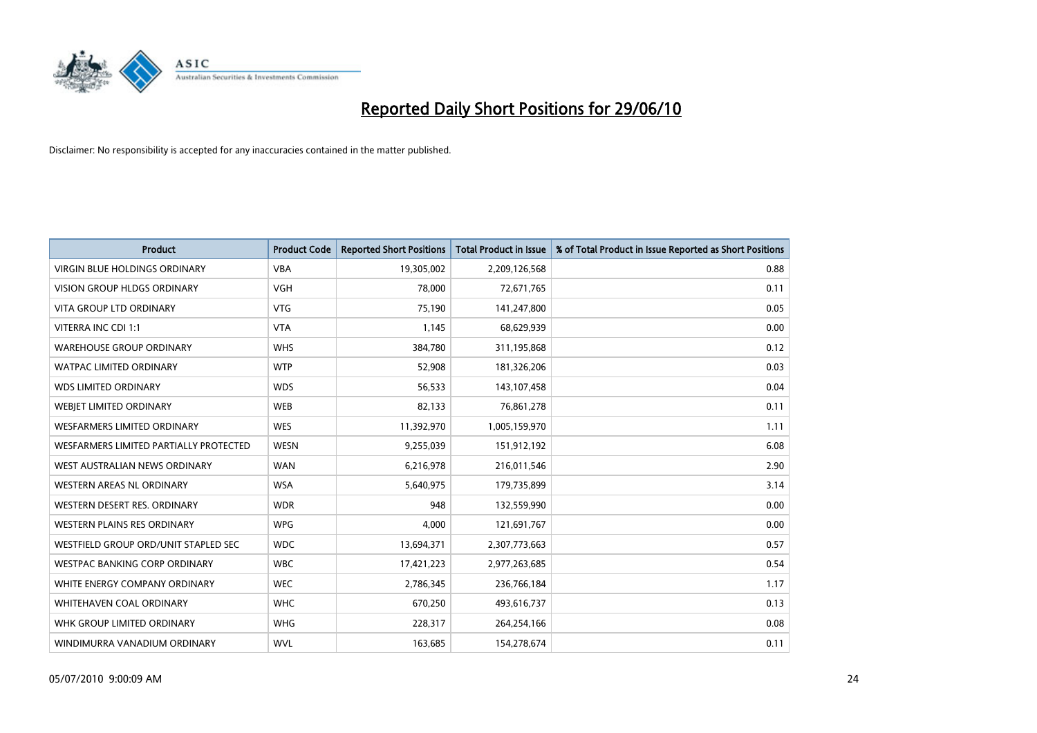

| <b>Product</b>                         | <b>Product Code</b> | <b>Reported Short Positions</b> | <b>Total Product in Issue</b> | % of Total Product in Issue Reported as Short Positions |
|----------------------------------------|---------------------|---------------------------------|-------------------------------|---------------------------------------------------------|
| <b>VIRGIN BLUE HOLDINGS ORDINARY</b>   | <b>VBA</b>          | 19,305,002                      | 2,209,126,568                 | 0.88                                                    |
| VISION GROUP HLDGS ORDINARY            | <b>VGH</b>          | 78,000                          | 72,671,765                    | 0.11                                                    |
| VITA GROUP LTD ORDINARY                | <b>VTG</b>          | 75,190                          | 141,247,800                   | 0.05                                                    |
| VITERRA INC CDI 1:1                    | <b>VTA</b>          | 1,145                           | 68,629,939                    | 0.00                                                    |
| <b>WAREHOUSE GROUP ORDINARY</b>        | <b>WHS</b>          | 384,780                         | 311,195,868                   | 0.12                                                    |
| <b>WATPAC LIMITED ORDINARY</b>         | <b>WTP</b>          | 52,908                          | 181,326,206                   | 0.03                                                    |
| <b>WDS LIMITED ORDINARY</b>            | <b>WDS</b>          | 56,533                          | 143,107,458                   | 0.04                                                    |
| WEBJET LIMITED ORDINARY                | <b>WEB</b>          | 82,133                          | 76,861,278                    | 0.11                                                    |
| <b>WESFARMERS LIMITED ORDINARY</b>     | <b>WES</b>          | 11,392,970                      | 1,005,159,970                 | 1.11                                                    |
| WESFARMERS LIMITED PARTIALLY PROTECTED | <b>WESN</b>         | 9,255,039                       | 151,912,192                   | 6.08                                                    |
| WEST AUSTRALIAN NEWS ORDINARY          | <b>WAN</b>          | 6,216,978                       | 216,011,546                   | 2.90                                                    |
| <b>WESTERN AREAS NL ORDINARY</b>       | <b>WSA</b>          | 5,640,975                       | 179,735,899                   | 3.14                                                    |
| WESTERN DESERT RES. ORDINARY           | <b>WDR</b>          | 948                             | 132,559,990                   | 0.00                                                    |
| <b>WESTERN PLAINS RES ORDINARY</b>     | <b>WPG</b>          | 4,000                           | 121,691,767                   | 0.00                                                    |
| WESTFIELD GROUP ORD/UNIT STAPLED SEC   | <b>WDC</b>          | 13,694,371                      | 2,307,773,663                 | 0.57                                                    |
| WESTPAC BANKING CORP ORDINARY          | <b>WBC</b>          | 17,421,223                      | 2,977,263,685                 | 0.54                                                    |
| WHITE ENERGY COMPANY ORDINARY          | <b>WEC</b>          | 2,786,345                       | 236,766,184                   | 1.17                                                    |
| <b>WHITEHAVEN COAL ORDINARY</b>        | <b>WHC</b>          | 670,250                         | 493,616,737                   | 0.13                                                    |
| WHK GROUP LIMITED ORDINARY             | <b>WHG</b>          | 228,317                         | 264,254,166                   | 0.08                                                    |
| WINDIMURRA VANADIUM ORDINARY           | <b>WVL</b>          | 163,685                         | 154,278,674                   | 0.11                                                    |